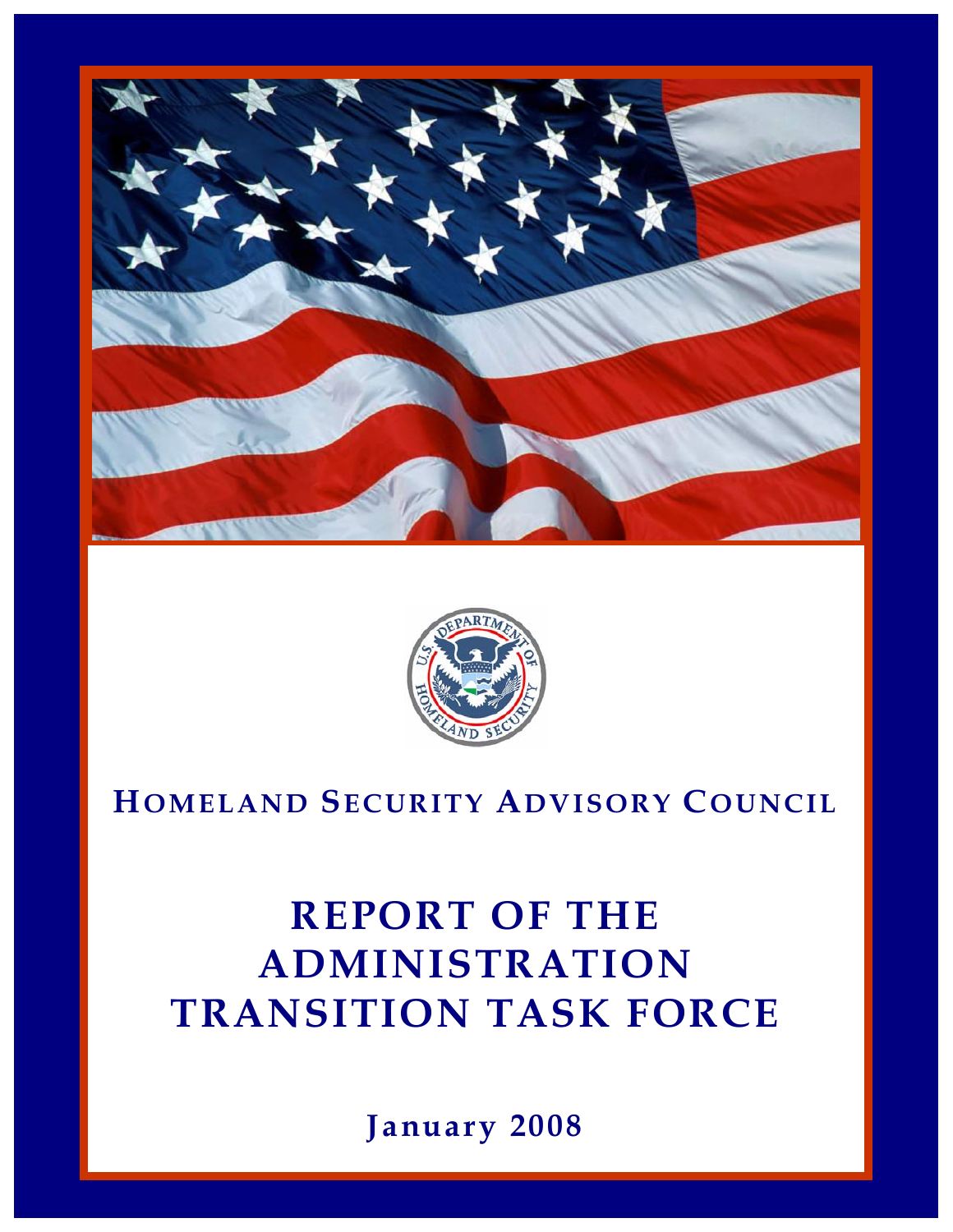



# **HOMELAND SECURITY ADVISORY COUNCIL**

# **REPORT OF THE ADMINISTRATION TRANSITION TASK FORCE**

**January 2008**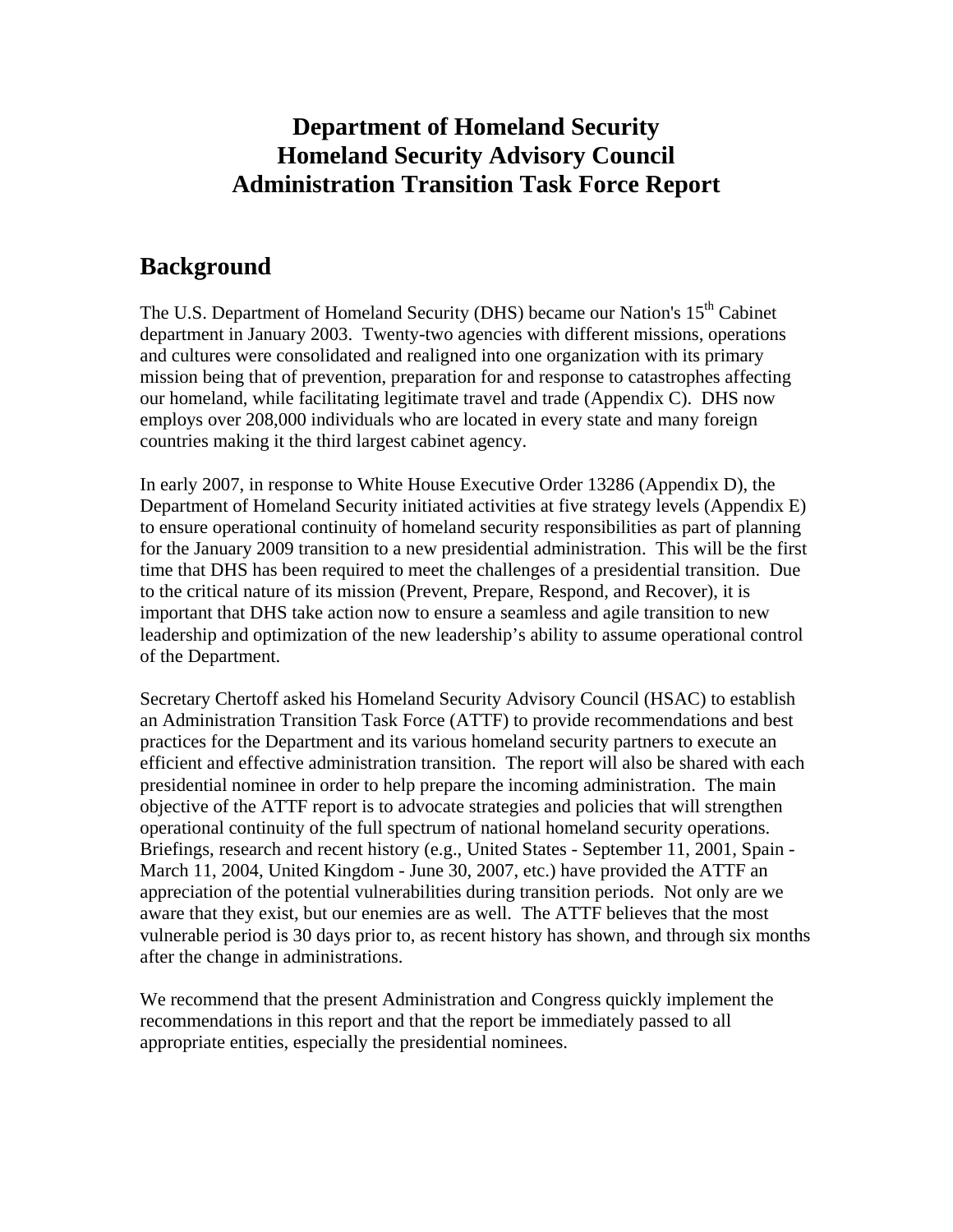# **Department of Homeland Security Homeland Security Advisory Council Administration Transition Task Force Report**

# **Background**

The U.S. Department of Homeland Security (DHS) became our Nation's 15<sup>th</sup> Cabinet department in January 2003. Twenty-two agencies with different missions, operations and cultures were consolidated and realigned into one organization with its primary mission being that of prevention, preparation for and response to catastrophes affecting our homeland, while facilitating legitimate travel and trade (Appendix C). DHS now employs over 208,000 individuals who are located in every state and many foreign countries making it the third largest cabinet agency.

In early 2007, in response to White House Executive Order 13286 (Appendix D), the Department of Homeland Security initiated activities at five strategy levels (Appendix E) to ensure operational continuity of homeland security responsibilities as part of planning for the January 2009 transition to a new presidential administration. This will be the first time that DHS has been required to meet the challenges of a presidential transition. Due to the critical nature of its mission (Prevent, Prepare, Respond, and Recover), it is important that DHS take action now to ensure a seamless and agile transition to new leadership and optimization of the new leadership's ability to assume operational control of the Department.

Secretary Chertoff asked his Homeland Security Advisory Council (HSAC) to establish an Administration Transition Task Force (ATTF) to provide recommendations and best practices for the Department and its various homeland security partners to execute an efficient and effective administration transition. The report will also be shared with each presidential nominee in order to help prepare the incoming administration. The main objective of the ATTF report is to advocate strategies and policies that will strengthen operational continuity of the full spectrum of national homeland security operations. Briefings, research and recent history (e.g., United States - September 11, 2001, Spain - March 11, 2004, United Kingdom - June 30, 2007, etc.) have provided the ATTF an appreciation of the potential vulnerabilities during transition periods. Not only are we aware that they exist, but our enemies are as well. The ATTF believes that the most vulnerable period is 30 days prior to, as recent history has shown, and through six months after the change in administrations.

We recommend that the present Administration and Congress quickly implement the recommendations in this report and that the report be immediately passed to all appropriate entities, especially the presidential nominees.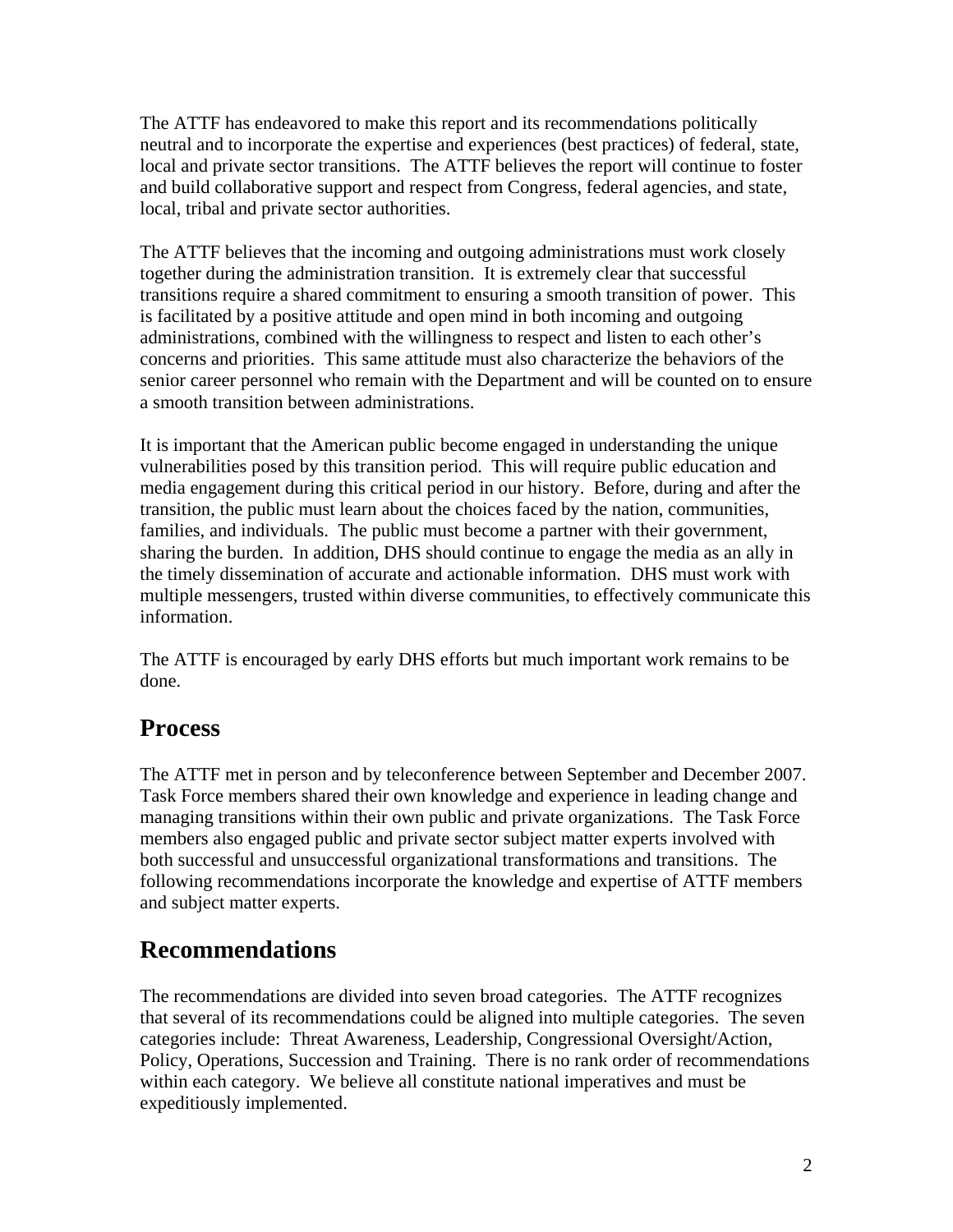The ATTF has endeavored to make this report and its recommendations politically neutral and to incorporate the expertise and experiences (best practices) of federal, state, local and private sector transitions. The ATTF believes the report will continue to foster and build collaborative support and respect from Congress, federal agencies, and state, local, tribal and private sector authorities.

The ATTF believes that the incoming and outgoing administrations must work closely together during the administration transition. It is extremely clear that successful transitions require a shared commitment to ensuring a smooth transition of power. This is facilitated by a positive attitude and open mind in both incoming and outgoing administrations, combined with the willingness to respect and listen to each other's concerns and priorities. This same attitude must also characterize the behaviors of the senior career personnel who remain with the Department and will be counted on to ensure a smooth transition between administrations.

It is important that the American public become engaged in understanding the unique vulnerabilities posed by this transition period. This will require public education and media engagement during this critical period in our history. Before, during and after the transition, the public must learn about the choices faced by the nation, communities, families, and individuals. The public must become a partner with their government, sharing the burden. In addition, DHS should continue to engage the media as an ally in the timely dissemination of accurate and actionable information. DHS must work with multiple messengers, trusted within diverse communities, to effectively communicate this information.

The ATTF is encouraged by early DHS efforts but much important work remains to be done.

# **Process**

The ATTF met in person and by teleconference between September and December 2007. Task Force members shared their own knowledge and experience in leading change and managing transitions within their own public and private organizations. The Task Force members also engaged public and private sector subject matter experts involved with both successful and unsuccessful organizational transformations and transitions. The following recommendations incorporate the knowledge and expertise of ATTF members and subject matter experts.

# **Recommendations**

The recommendations are divided into seven broad categories. The ATTF recognizes that several of its recommendations could be aligned into multiple categories. The seven categories include: Threat Awareness, Leadership, Congressional Oversight/Action, Policy, Operations, Succession and Training. There is no rank order of recommendations within each category. We believe all constitute national imperatives and must be expeditiously implemented.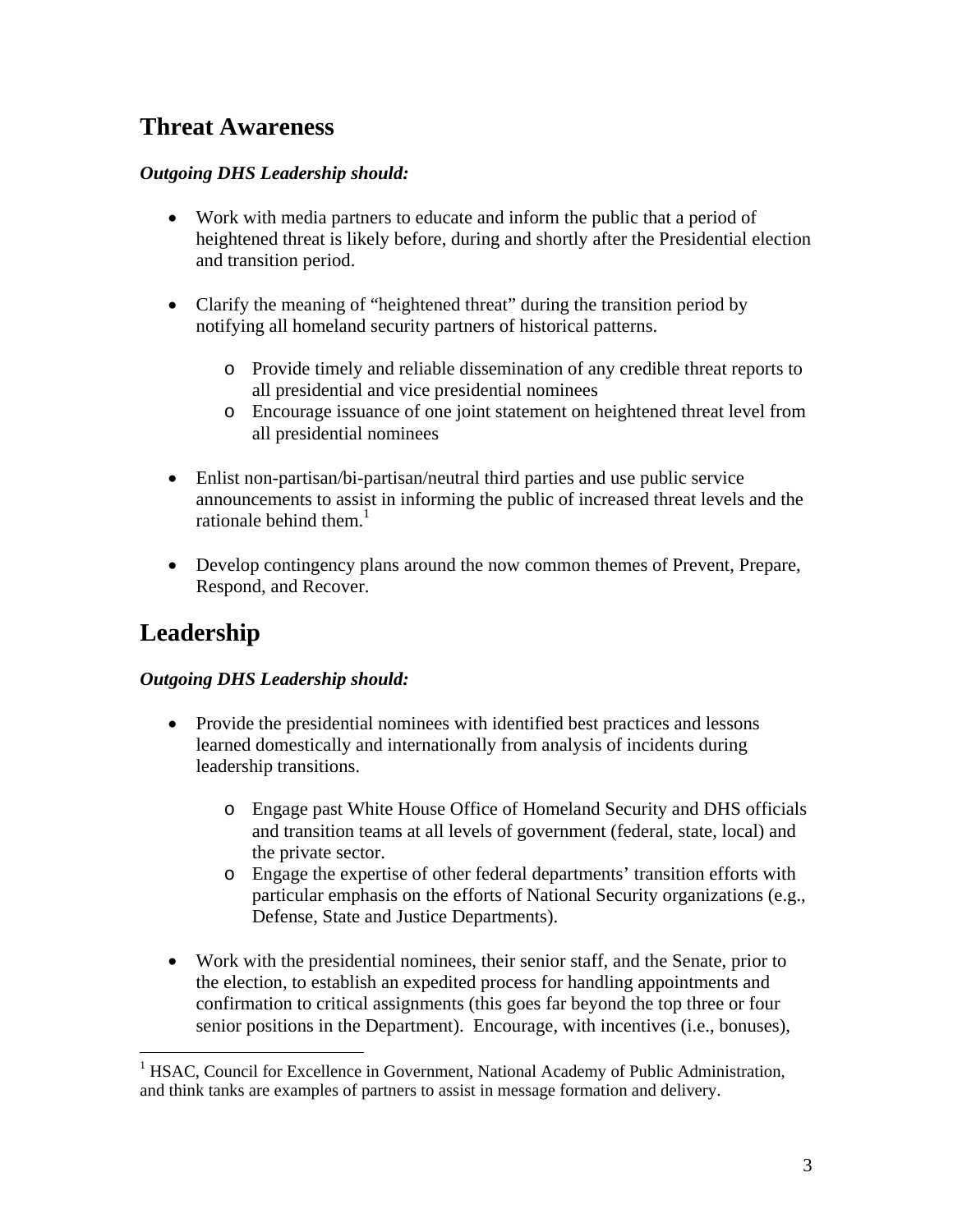# **Threat Awareness**

### *Outgoing DHS Leadership should:*

- Work with media partners to educate and inform the public that a period of heightened threat is likely before, during and shortly after the Presidential election and transition period.
- Clarify the meaning of "heightened threat" during the transition period by notifying all homeland security partners of historical patterns.
	- o Provide timely and reliable dissemination of any credible threat reports to all presidential and vice presidential nominees
	- o Encourage issuance of one joint statement on heightened threat level from all presidential nominees
- Enlist non-partisan/bi-partisan/neutral third parties and use public service announcements to assist in informing the public of increased threat levels and the rationale behind them  $<sup>1</sup>$ </sup>
- Develop contingency plans around the now common themes of Prevent, Prepare, Respond, and Recover.

# **Leadership**

 $\overline{a}$ 

#### *Outgoing DHS Leadership should:*

- Provide the presidential nominees with identified best practices and lessons learned domestically and internationally from analysis of incidents during leadership transitions.
	- o Engage past White House Office of Homeland Security and DHS officials and transition teams at all levels of government (federal, state, local) and the private sector.
	- o Engage the expertise of other federal departments' transition efforts with particular emphasis on the efforts of National Security organizations (e.g., Defense, State and Justice Departments).
- Work with the presidential nominees, their senior staff, and the Senate, prior to the election, to establish an expedited process for handling appointments and confirmation to critical assignments (this goes far beyond the top three or four senior positions in the Department). Encourage, with incentives (i.e., bonuses),

<sup>&</sup>lt;sup>1</sup> HSAC, Council for Excellence in Government, National Academy of Public Administration, and think tanks are examples of partners to assist in message formation and delivery.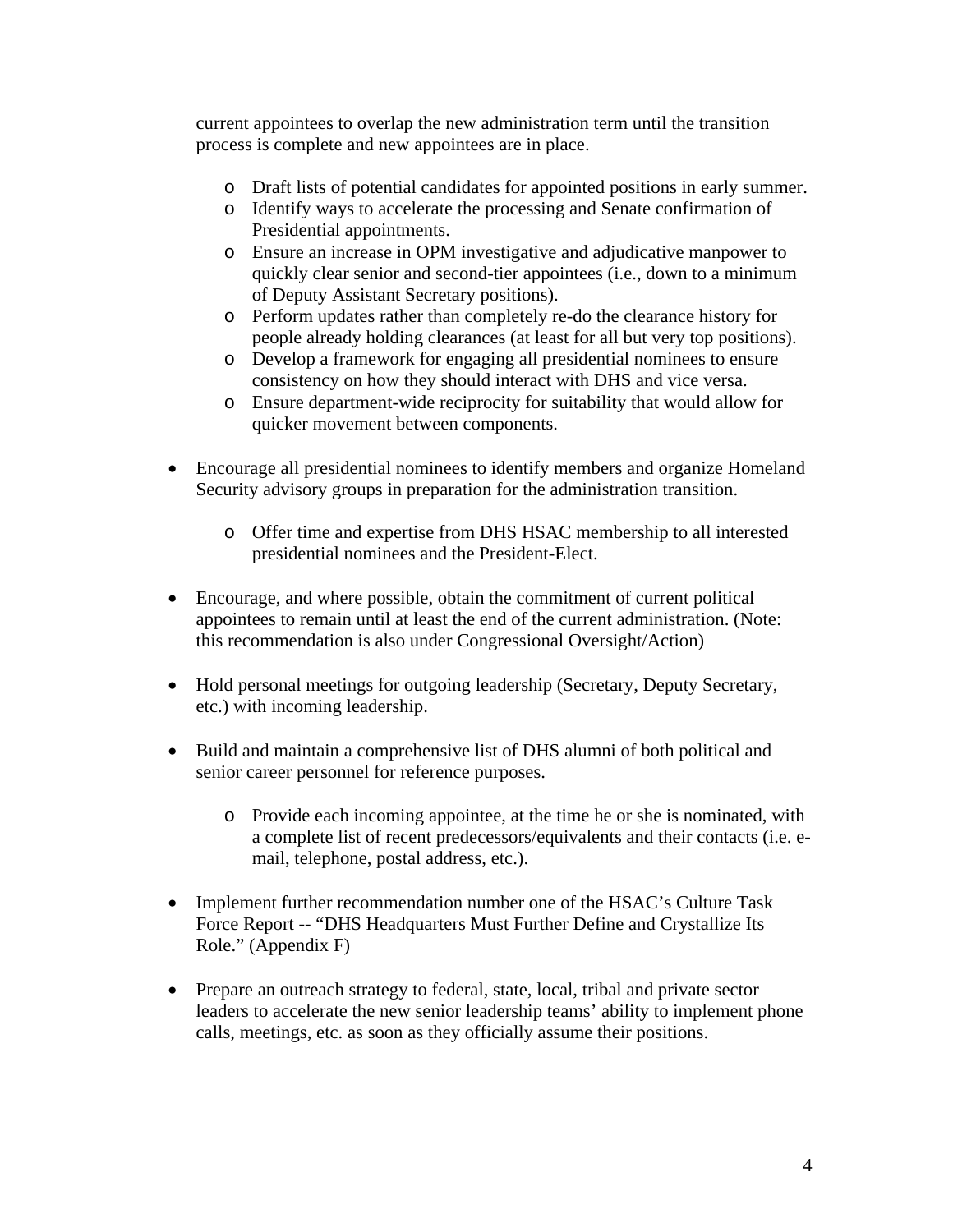current appointees to overlap the new administration term until the transition process is complete and new appointees are in place.

- o Draft lists of potential candidates for appointed positions in early summer.
- o Identify ways to accelerate the processing and Senate confirmation of Presidential appointments.
- o Ensure an increase in OPM investigative and adjudicative manpower to quickly clear senior and second-tier appointees (i.e., down to a minimum of Deputy Assistant Secretary positions).
- o Perform updates rather than completely re-do the clearance history for people already holding clearances (at least for all but very top positions).
- o Develop a framework for engaging all presidential nominees to ensure consistency on how they should interact with DHS and vice versa.
- o Ensure department-wide reciprocity for suitability that would allow for quicker movement between components.
- Encourage all presidential nominees to identify members and organize Homeland Security advisory groups in preparation for the administration transition.
	- o Offer time and expertise from DHS HSAC membership to all interested presidential nominees and the President-Elect.
- Encourage, and where possible, obtain the commitment of current political appointees to remain until at least the end of the current administration. (Note: this recommendation is also under Congressional Oversight/Action)
- Hold personal meetings for outgoing leadership (Secretary, Deputy Secretary, etc.) with incoming leadership.
- Build and maintain a comprehensive list of DHS alumni of both political and senior career personnel for reference purposes.
	- o Provide each incoming appointee, at the time he or she is nominated, with a complete list of recent predecessors/equivalents and their contacts (i.e. email, telephone, postal address, etc.).
- Implement further recommendation number one of the HSAC's Culture Task Force Report -- "DHS Headquarters Must Further Define and Crystallize Its Role." (Appendix F)
- Prepare an outreach strategy to federal, state, local, tribal and private sector leaders to accelerate the new senior leadership teams' ability to implement phone calls, meetings, etc. as soon as they officially assume their positions.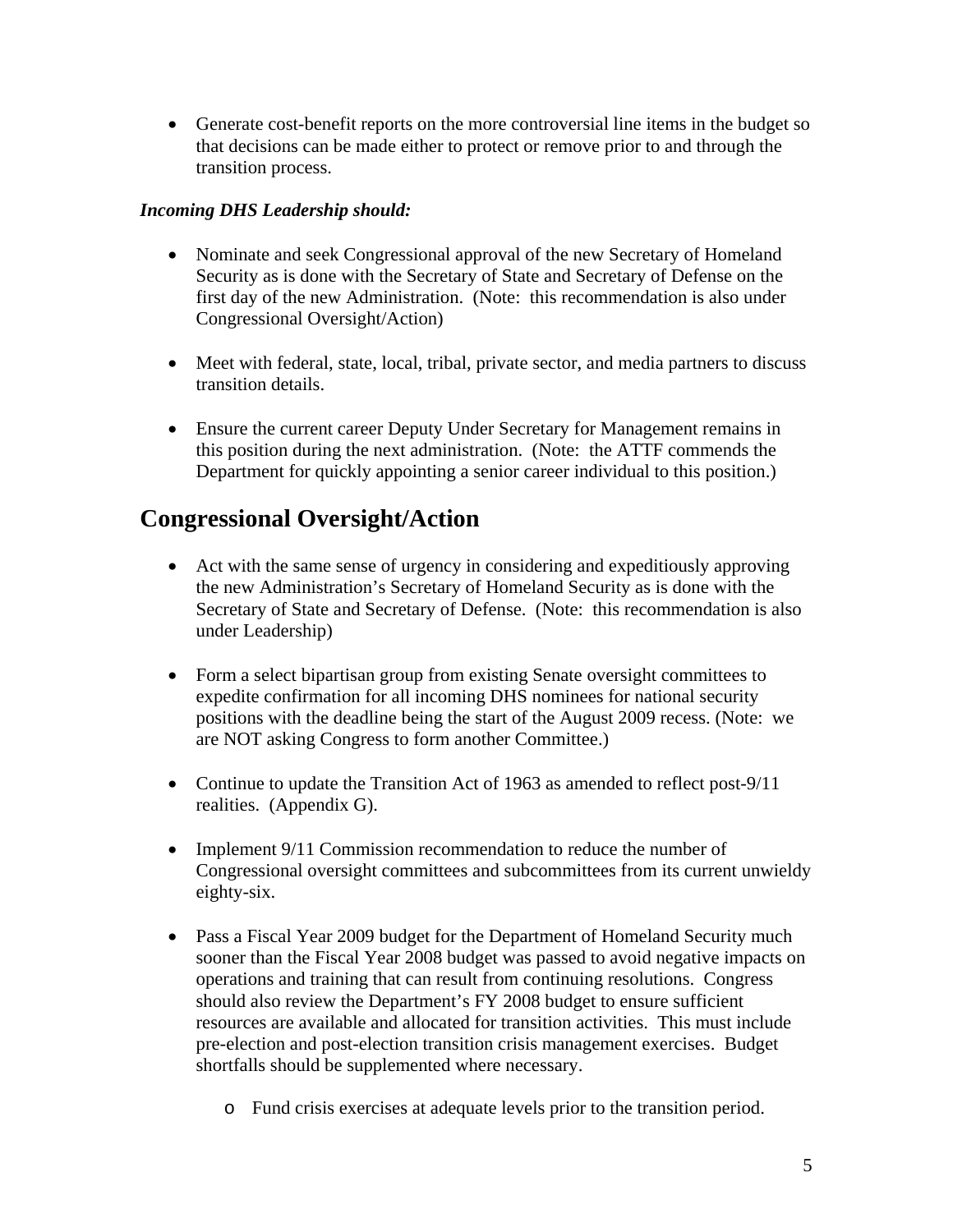• Generate cost-benefit reports on the more controversial line items in the budget so that decisions can be made either to protect or remove prior to and through the transition process.

### *Incoming DHS Leadership should:*

- Nominate and seek Congressional approval of the new Secretary of Homeland Security as is done with the Secretary of State and Secretary of Defense on the first day of the new Administration. (Note: this recommendation is also under Congressional Oversight/Action)
- Meet with federal, state, local, tribal, private sector, and media partners to discuss transition details.
- Ensure the current career Deputy Under Secretary for Management remains in this position during the next administration. (Note: the ATTF commends the Department for quickly appointing a senior career individual to this position.)

# **Congressional Oversight/Action**

- Act with the same sense of urgency in considering and expeditiously approving the new Administration's Secretary of Homeland Security as is done with the Secretary of State and Secretary of Defense. (Note: this recommendation is also under Leadership)
- Form a select bipartisan group from existing Senate oversight committees to expedite confirmation for all incoming DHS nominees for national security positions with the deadline being the start of the August 2009 recess. (Note: we are NOT asking Congress to form another Committee.)
- Continue to update the Transition Act of 1963 as amended to reflect post-9/11 realities. (Appendix G).
- Implement 9/11 Commission recommendation to reduce the number of Congressional oversight committees and subcommittees from its current unwieldy eighty-six.
- Pass a Fiscal Year 2009 budget for the Department of Homeland Security much sooner than the Fiscal Year 2008 budget was passed to avoid negative impacts on operations and training that can result from continuing resolutions. Congress should also review the Department's FY 2008 budget to ensure sufficient resources are available and allocated for transition activities. This must include pre-election and post-election transition crisis management exercises. Budget shortfalls should be supplemented where necessary.
	- o Fund crisis exercises at adequate levels prior to the transition period.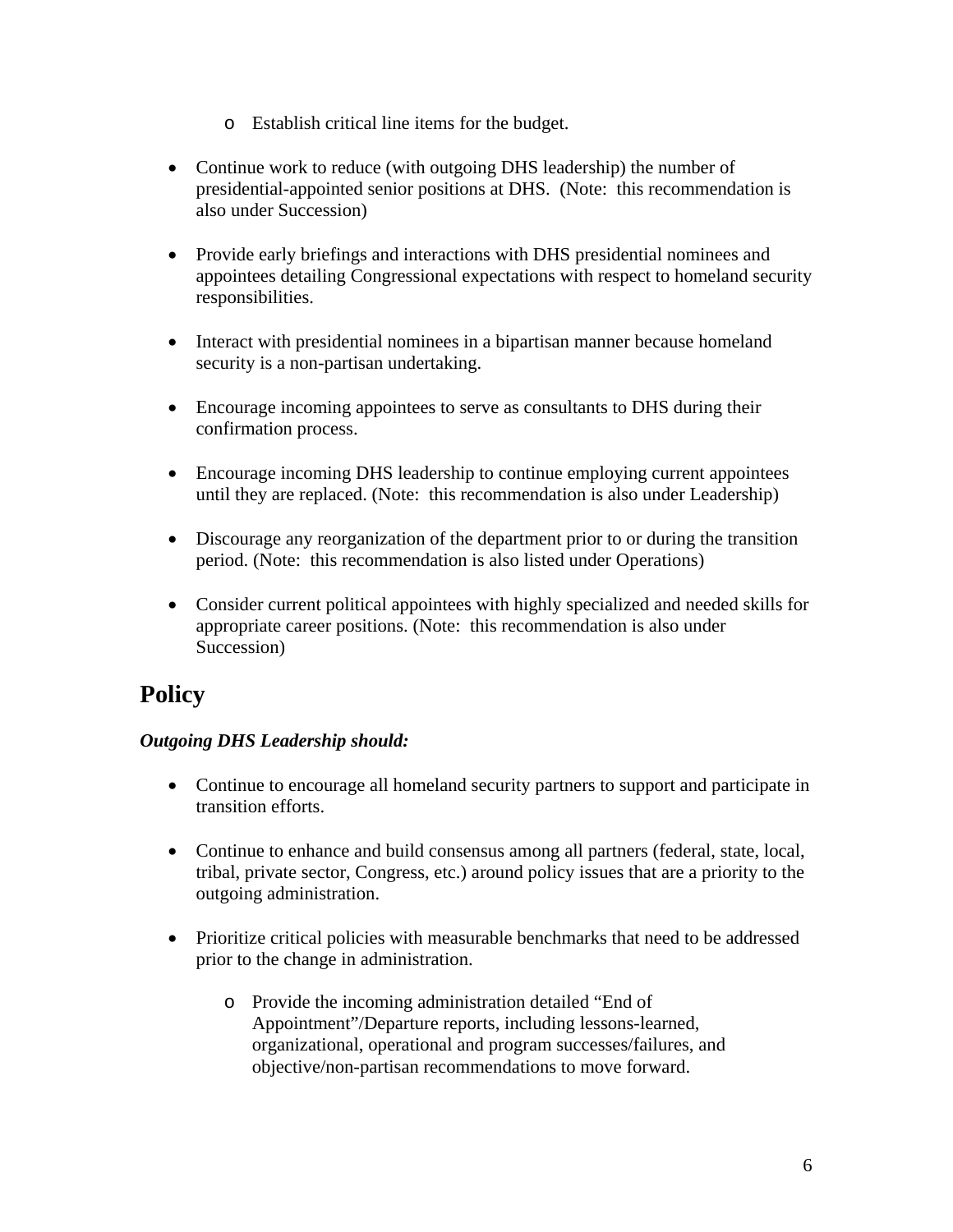- o Establish critical line items for the budget.
- Continue work to reduce (with outgoing DHS leadership) the number of presidential-appointed senior positions at DHS. (Note: this recommendation is also under Succession)
- Provide early briefings and interactions with DHS presidential nominees and appointees detailing Congressional expectations with respect to homeland security responsibilities.
- Interact with presidential nominees in a bipartisan manner because homeland security is a non-partisan undertaking.
- Encourage incoming appointees to serve as consultants to DHS during their confirmation process.
- Encourage incoming DHS leadership to continue employing current appointees until they are replaced. (Note: this recommendation is also under Leadership)
- Discourage any reorganization of the department prior to or during the transition period. (Note: this recommendation is also listed under Operations)
- Consider current political appointees with highly specialized and needed skills for appropriate career positions. (Note: this recommendation is also under Succession)

# **Policy**

### *Outgoing DHS Leadership should:*

- Continue to encourage all homeland security partners to support and participate in transition efforts.
- Continue to enhance and build consensus among all partners (federal, state, local, tribal, private sector, Congress, etc.) around policy issues that are a priority to the outgoing administration.
- Prioritize critical policies with measurable benchmarks that need to be addressed prior to the change in administration.
	- o Provide the incoming administration detailed "End of Appointment"/Departure reports, including lessons-learned, organizational, operational and program successes/failures, and objective/non-partisan recommendations to move forward.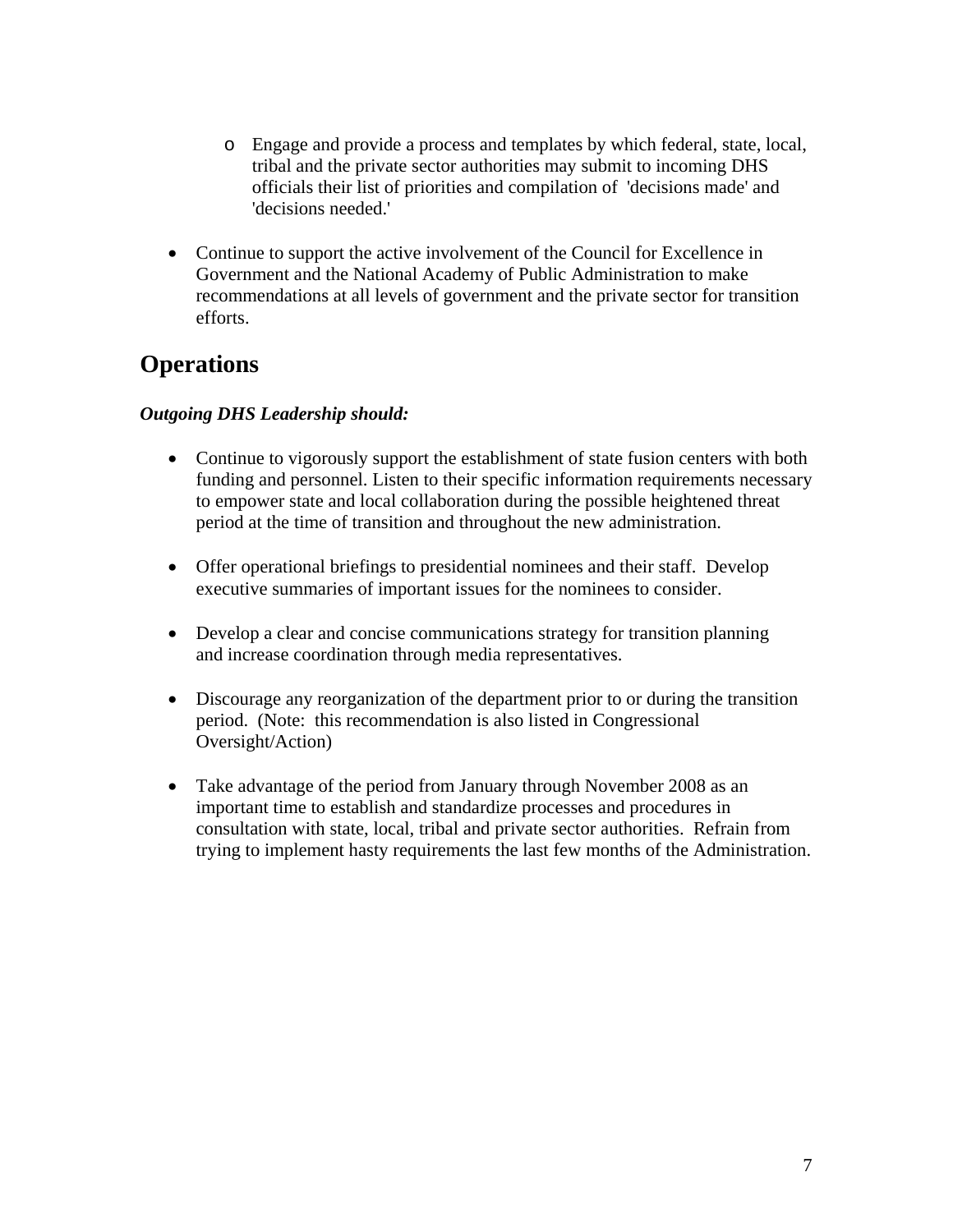- o Engage and provide a process and templates by which federal, state, local, tribal and the private sector authorities may submit to incoming DHS officials their list of priorities and compilation of 'decisions made' and 'decisions needed.'
- Continue to support the active involvement of the Council for Excellence in Government and the National Academy of Public Administration to make recommendations at all levels of government and the private sector for transition efforts.

# **Operations**

### *Outgoing DHS Leadership should:*

- Continue to vigorously support the establishment of state fusion centers with both funding and personnel. Listen to their specific information requirements necessary to empower state and local collaboration during the possible heightened threat period at the time of transition and throughout the new administration.
- Offer operational briefings to presidential nominees and their staff. Develop executive summaries of important issues for the nominees to consider.
- Develop a clear and concise communications strategy for transition planning and increase coordination through media representatives.
- Discourage any reorganization of the department prior to or during the transition period. (Note: this recommendation is also listed in Congressional Oversight/Action)
- Take advantage of the period from January through November 2008 as an important time to establish and standardize processes and procedures in consultation with state, local, tribal and private sector authorities. Refrain from trying to implement hasty requirements the last few months of the Administration.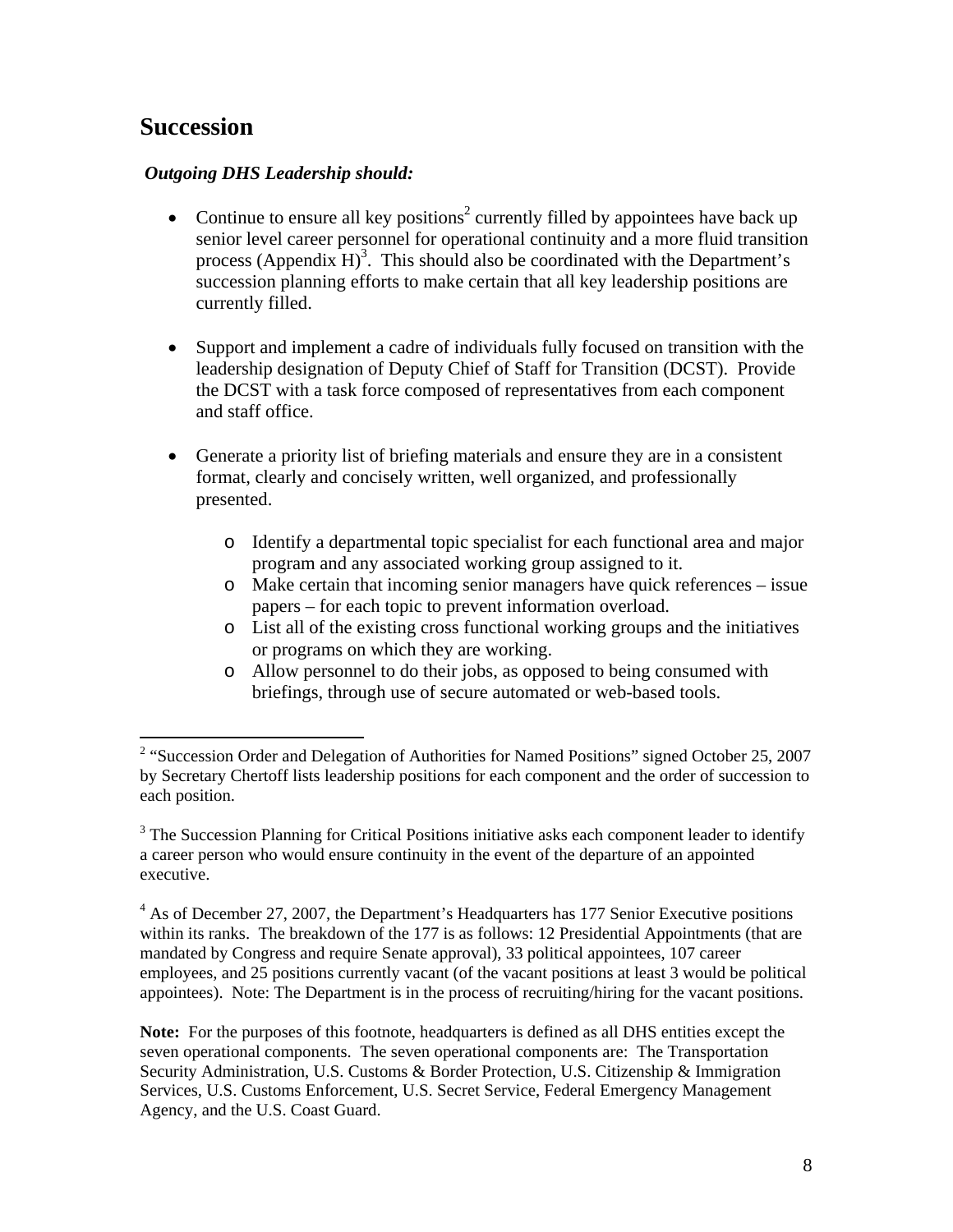# **Succession**

#### *Outgoing DHS Leadership should:*

- Continue to ensure all key positions<sup>2</sup> currently filled by appointees have back up senior level career personnel for operational continuity and a more fluid transition process (Appendix  $H$ )<sup>3</sup>. This should also be coordinated with the Department's succession planning efforts to make certain that all key leadership positions are currently filled.
- Support and implement a cadre of individuals fully focused on transition with the leadership designation of Deputy Chief of Staff for Transition (DCST). Provide the DCST with a task force composed of representatives from each component and staff office.
- Generate a priority list of briefing materials and ensure they are in a consistent format, clearly and concisely written, well organized, and professionally presented.
	- o Identify a departmental topic specialist for each functional area and major program and any associated working group assigned to it.
	- o Make certain that incoming senior managers have quick references issue papers – for each topic to prevent information overload.
	- o List all of the existing cross functional working groups and the initiatives or programs on which they are working.
	- o Allow personnel to do their jobs, as opposed to being consumed with briefings, through use of secure automated or web-based tools.

<sup>4</sup> As of December 27, 2007, the Department's Headquarters has 177 Senior Executive positions within its ranks. The breakdown of the 177 is as follows: 12 Presidential Appointments (that are mandated by Congress and require Senate approval), 33 political appointees, 107 career employees, and 25 positions currently vacant (of the vacant positions at least 3 would be political appointees). Note: The Department is in the process of recruiting/hiring for the vacant positions.

**Note:** For the purposes of this footnote, headquarters is defined as all DHS entities except the seven operational components. The seven operational components are: The Transportation Security Administration, U.S. Customs & Border Protection, U.S. Citizenship & Immigration Services, U.S. Customs Enforcement, U.S. Secret Service, Federal Emergency Management Agency, and the U.S. Coast Guard.

<sup>&</sup>lt;sup>2</sup> "Succession Order and Delegation of Authorities for Named Positions" signed October 25, 2007 by Secretary Chertoff lists leadership positions for each component and the order of succession to each position.

 $3$  The Succession Planning for Critical Positions initiative asks each component leader to identify a career person who would ensure continuity in the event of the departure of an appointed executive.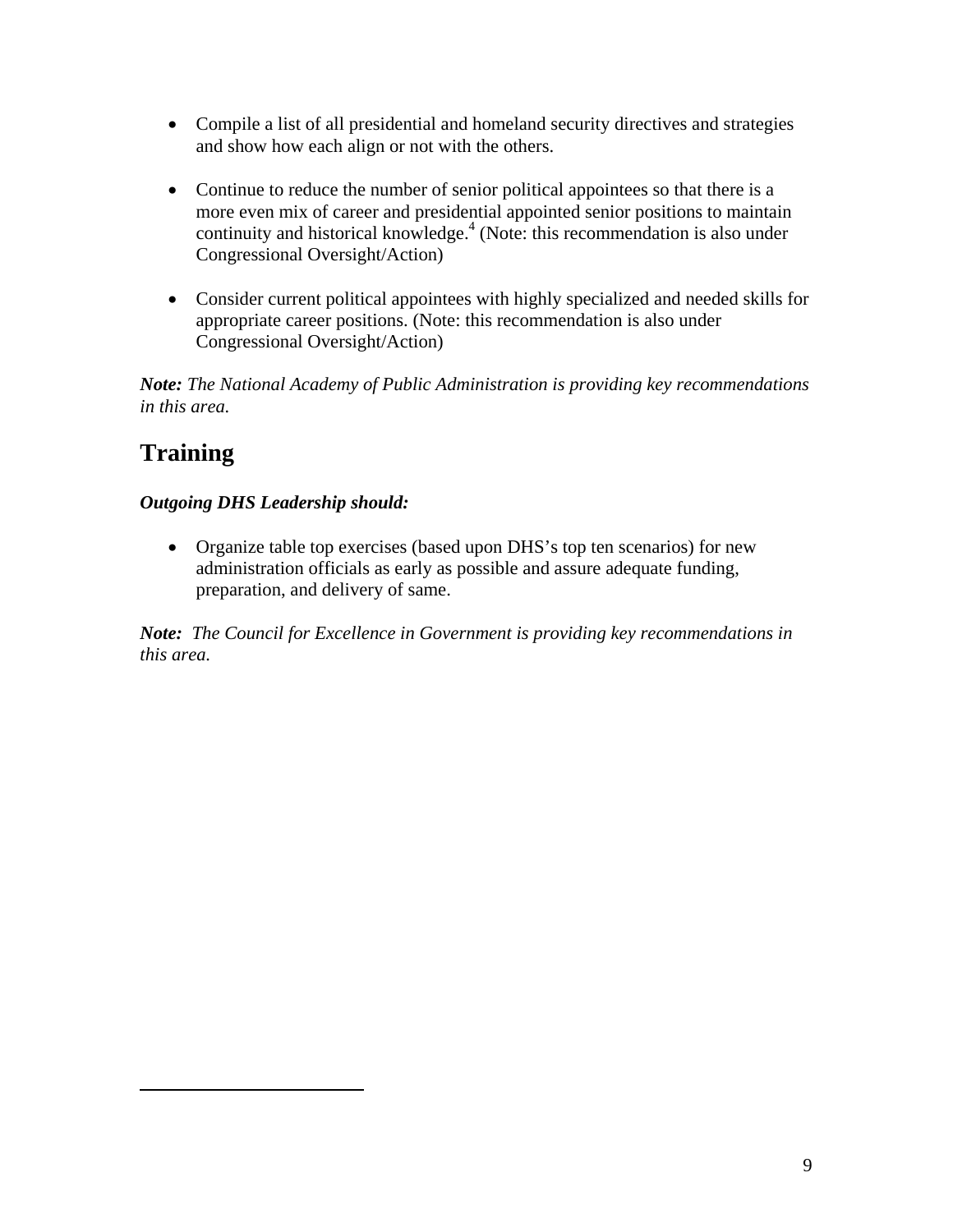- Compile a list of all presidential and homeland security directives and strategies and show how each align or not with the others.
- Continue to reduce the number of senior political appointees so that there is a more even mix of career and presidential appointed senior positions to maintain continuity and historical knowledge. $4$  (Note: this recommendation is also under Congressional Oversight/Action)
- Consider current political appointees with highly specialized and needed skills for appropriate career positions. (Note: this recommendation is also under Congressional Oversight/Action)

*Note: The National Academy of Public Administration is providing key recommendations in this area.* 

# **Training**

<u>.</u>

### *Outgoing DHS Leadership should:*

• Organize table top exercises (based upon DHS's top ten scenarios) for new administration officials as early as possible and assure adequate funding, preparation, and delivery of same.

*Note: The Council for Excellence in Government is providing key recommendations in this area.*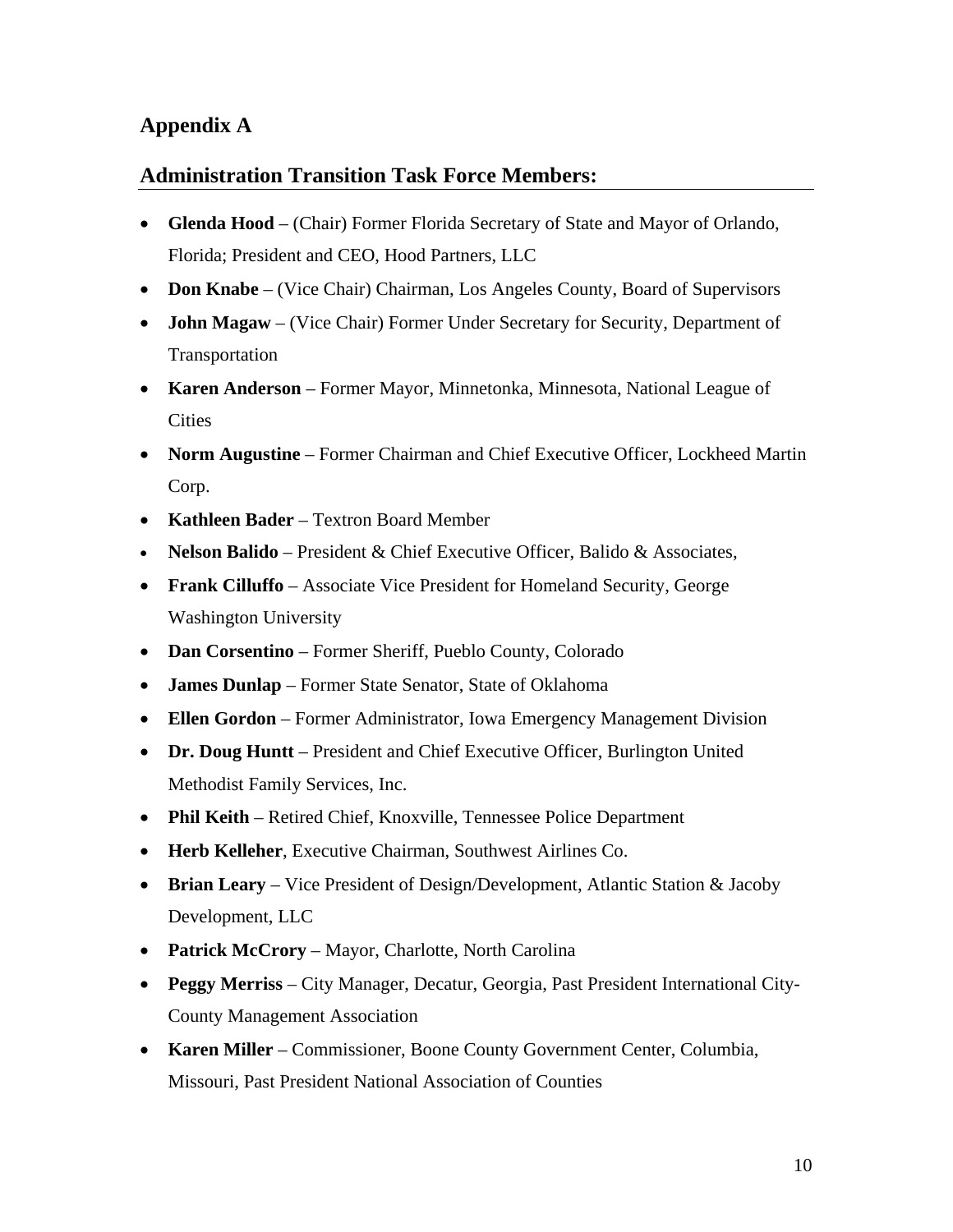# **Appendix A**

### **Administration Transition Task Force Members:**

- **Glenda Hood** (Chair) Former Florida Secretary of State and Mayor of Orlando, Florida; President and CEO, Hood Partners, LLC
- **Don Knabe** (Vice Chair) Chairman, Los Angeles County, Board of Supervisors
- **John Magaw** (Vice Chair) Former Under Secretary for Security, Department of Transportation
- **Karen Anderson** Former Mayor, Minnetonka, Minnesota, National League of **Cities**
- **Norm Augustine** Former Chairman and Chief Executive Officer, Lockheed Martin Corp.
- **Kathleen Bader** Textron Board Member
- **Nelson Balido** President & Chief Executive Officer, Balido & Associates,
- **Frank Cilluffo** Associate Vice President for Homeland Security, George Washington University
- **Dan Corsentino** Former Sheriff, Pueblo County, Colorado
- **James Dunlap** Former State Senator, State of Oklahoma
- **Ellen Gordon** Former Administrator, Iowa Emergency Management Division
- **Dr. Doug Huntt** President and Chief Executive Officer, Burlington United Methodist Family Services, Inc.
- **Phil Keith** Retired Chief, Knoxville, Tennessee Police Department
- **Herb Kelleher**, Executive Chairman, Southwest Airlines Co.
- **Brian Leary** Vice President of Design/Development, Atlantic Station & Jacoby Development, LLC
- **Patrick McCrory** Mayor, Charlotte, North Carolina
- **Peggy Merriss** City Manager, Decatur, Georgia, Past President International City-County Management Association
- **Karen Miller** Commissioner, Boone County Government Center, Columbia, Missouri, Past President National Association of Counties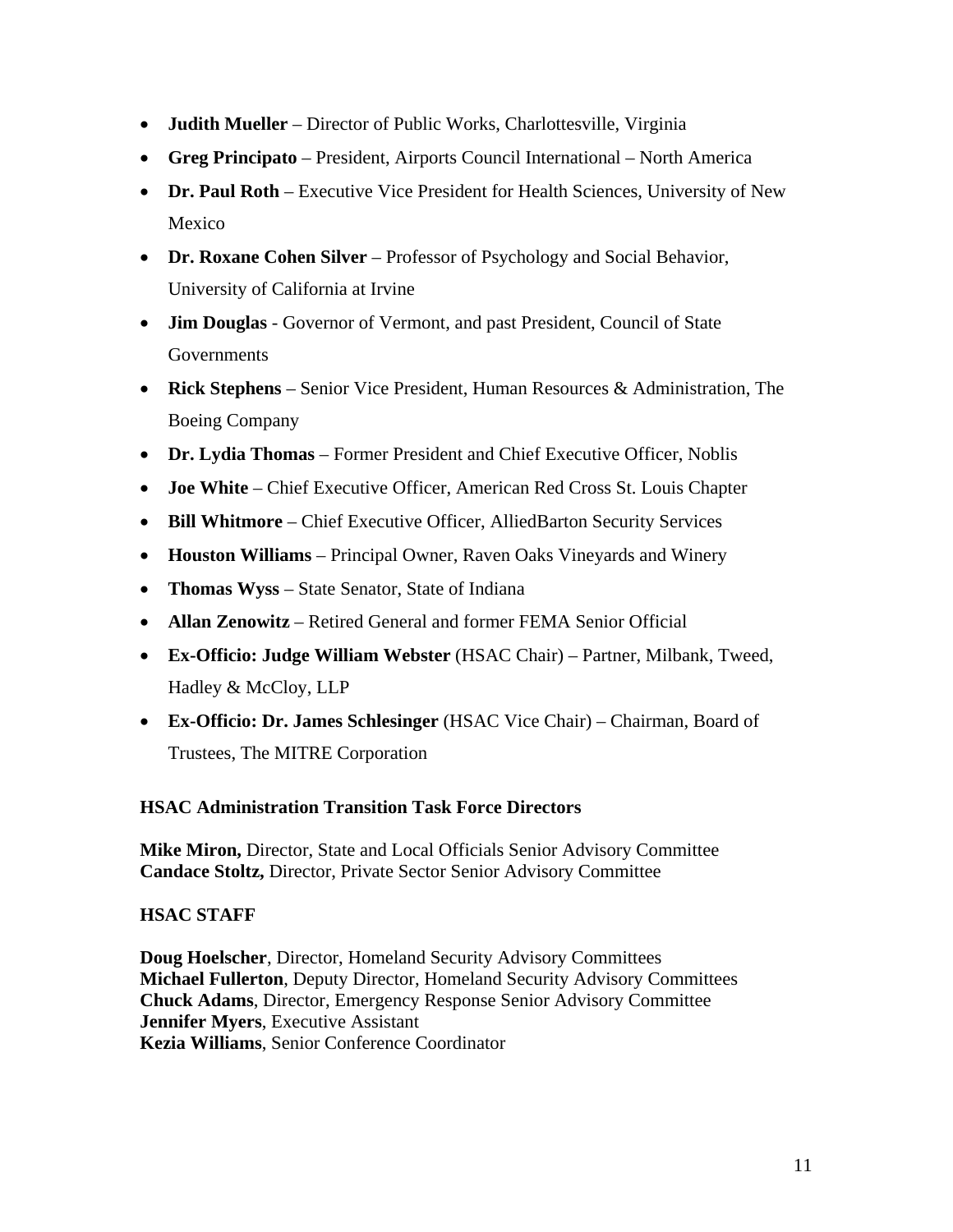- **Judith Mueller** Director of Public Works, Charlottesville, Virginia
- **Greg Principato** President, Airports Council International North America
- **Dr. Paul Roth** Executive Vice President for Health Sciences, University of New Mexico
- **Dr. Roxane Cohen Silver** Professor of Psychology and Social Behavior, University of California at Irvine
- **Jim Douglas** Governor of Vermont, and past President, Council of State **Governments**
- **Rick Stephens** Senior Vice President, Human Resources & Administration, The Boeing Company
- **Dr. Lydia Thomas** Former President and Chief Executive Officer, Noblis
- **Joe White** Chief Executive Officer, American Red Cross St. Louis Chapter
- **Bill Whitmore** Chief Executive Officer, AlliedBarton Security Services
- **Houston Williams** Principal Owner, Raven Oaks Vineyards and Winery
- **Thomas Wyss** State Senator, State of Indiana
- **Allan Zenowitz** Retired General and former FEMA Senior Official
- **Ex-Officio: Judge William Webster** (HSAC Chair) Partner, Milbank, Tweed, Hadley & McCloy, LLP
- **Ex-Officio: Dr. James Schlesinger** (HSAC Vice Chair) Chairman, Board of Trustees, The MITRE Corporation

#### **HSAC Administration Transition Task Force Directors**

**Mike Miron,** Director, State and Local Officials Senior Advisory Committee **Candace Stoltz,** Director, Private Sector Senior Advisory Committee

#### **HSAC STAFF**

**Doug Hoelscher**, Director, Homeland Security Advisory Committees **Michael Fullerton**, Deputy Director, Homeland Security Advisory Committees **Chuck Adams**, Director, Emergency Response Senior Advisory Committee **Jennifer Myers**, Executive Assistant **Kezia Williams**, Senior Conference Coordinator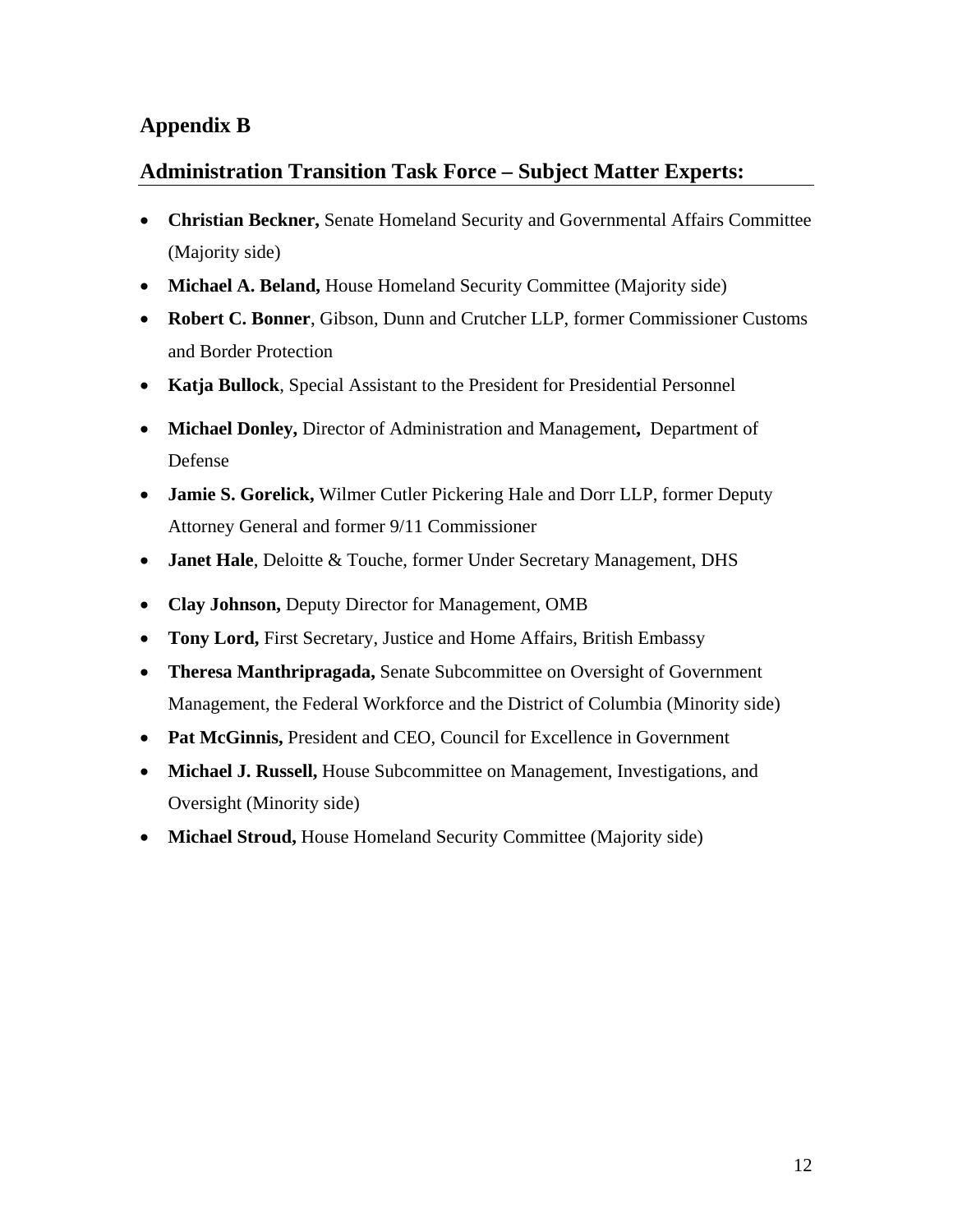## **Appendix B**

### **Administration Transition Task Force – Subject Matter Experts:**

- **Christian Beckner,** Senate Homeland Security and Governmental Affairs Committee (Majority side)
- **Michael A. Beland,** House Homeland Security Committee (Majority side)
- **Robert C. Bonner**, Gibson, Dunn and Crutcher LLP, former Commissioner Customs and Border Protection
- **Katja Bullock**, Special Assistant to the President for Presidential Personnel
- **Michael Donley,** Director of Administration and Management**,** Department of Defense
- **Jamie S. Gorelick,** Wilmer Cutler Pickering Hale and Dorr LLP, former Deputy Attorney General and former 9/11 Commissioner
- **Janet Hale**, Deloitte & Touche, former Under Secretary Management, DHS
- **Clay Johnson,** Deputy Director for Management, OMB
- **Tony Lord,** First Secretary, Justice and Home Affairs, British Embassy
- **Theresa Manthripragada,** Senate Subcommittee on Oversight of Government Management, the Federal Workforce and the District of Columbia (Minority side)
- Pat McGinnis, President and CEO, Council for Excellence in Government
- **Michael J. Russell,** House Subcommittee on Management, Investigations, and Oversight (Minority side)
- **Michael Stroud,** House Homeland Security Committee (Majority side)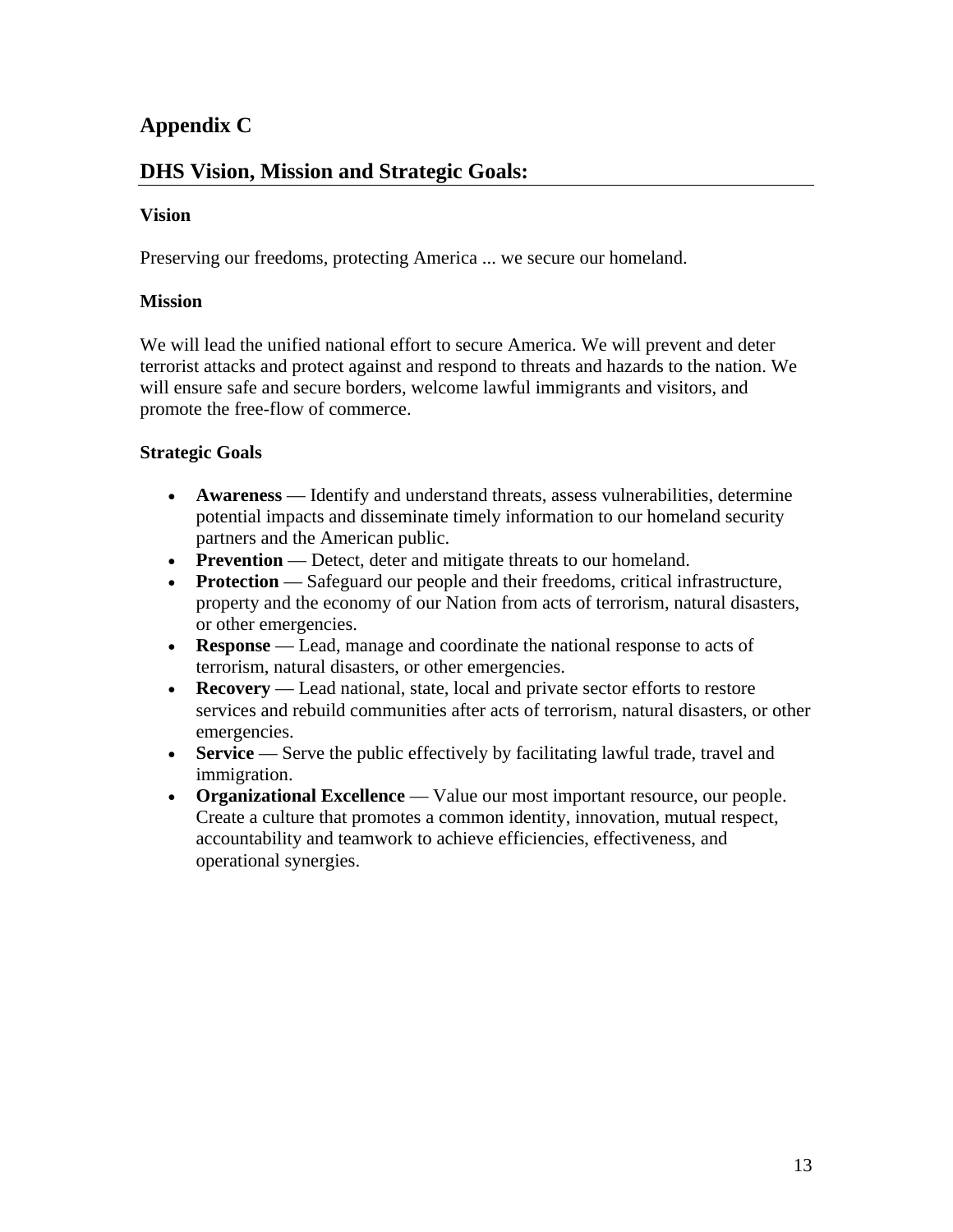# **Appendix C**

### **DHS Vision, Mission and Strategic Goals:**

#### **Vision**

Preserving our freedoms, protecting America ... we secure our homeland.

#### **Mission**

We will lead the unified national effort to secure America. We will prevent and deter terrorist attacks and protect against and respond to threats and hazards to the nation. We will ensure safe and secure borders, welcome lawful immigrants and visitors, and promote the free-flow of commerce.

#### **Strategic Goals**

- **Awareness** Identify and understand threats, assess vulnerabilities, determine potential impacts and disseminate timely information to our homeland security partners and the American public.
- **Prevention** Detect, deter and mitigate threats to our homeland.
- **Protection** Safeguard our people and their freedoms, critical infrastructure, property and the economy of our Nation from acts of terrorism, natural disasters, or other emergencies.
- **Response** Lead, manage and coordinate the national response to acts of terrorism, natural disasters, or other emergencies.
- **Recovery** Lead national, state, local and private sector efforts to restore services and rebuild communities after acts of terrorism, natural disasters, or other emergencies.
- **Service** Serve the public effectively by facilitating lawful trade, travel and immigration.
- **Organizational Excellence** Value our most important resource, our people. Create a culture that promotes a common identity, innovation, mutual respect, accountability and teamwork to achieve efficiencies, effectiveness, and operational synergies.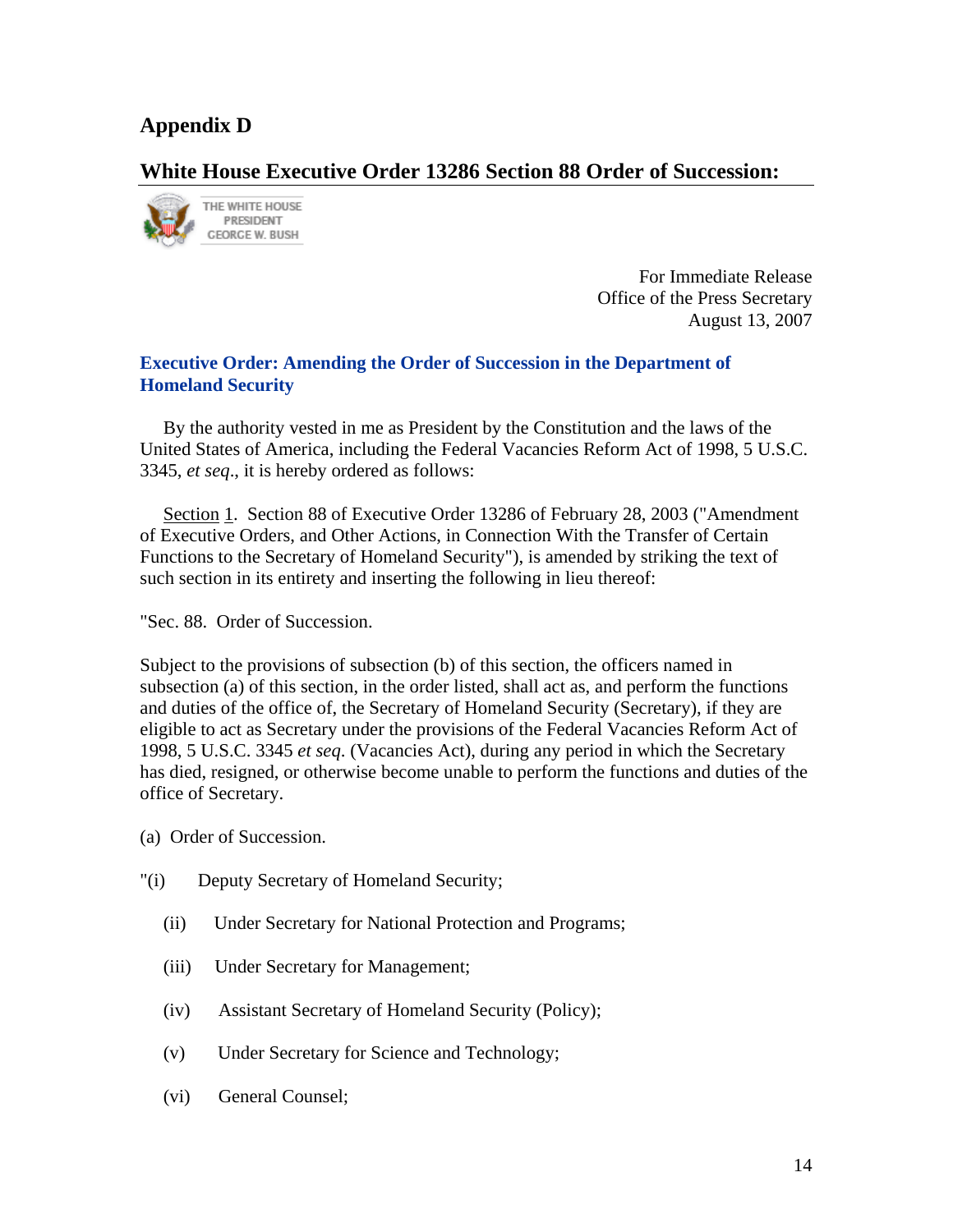## **Appendix D**

### **White House Executive Order 13286 Section 88 Order of Succession:**



For Immediate Release Office of the Press Secretary August 13, 2007

#### **Executive Order: Amending the Order of Succession in the Department of Homeland Security**

 By the authority vested in me as President by the Constitution and the laws of the United States of America, including the Federal Vacancies Reform Act of 1998, 5 U.S.C. 3345, *et seq*., it is hereby ordered as follows:

 Section 1. Section 88 of Executive Order 13286 of February 28, 2003 ("Amendment of Executive Orders, and Other Actions, in Connection With the Transfer of Certain Functions to the Secretary of Homeland Security"), is amended by striking the text of such section in its entirety and inserting the following in lieu thereof:

"Sec. 88. Order of Succession.

Subject to the provisions of subsection (b) of this section, the officers named in subsection (a) of this section, in the order listed, shall act as, and perform the functions and duties of the office of, the Secretary of Homeland Security (Secretary), if they are eligible to act as Secretary under the provisions of the Federal Vacancies Reform Act of 1998, 5 U.S.C. 3345 *et seq*. (Vacancies Act), during any period in which the Secretary has died, resigned, or otherwise become unable to perform the functions and duties of the office of Secretary.

- (a) Order of Succession.
- "(i) Deputy Secretary of Homeland Security;
	- (ii) Under Secretary for National Protection and Programs;
	- (iii) Under Secretary for Management;
	- (iv) Assistant Secretary of Homeland Security (Policy);
	- (v) Under Secretary for Science and Technology;
	- (vi) General Counsel;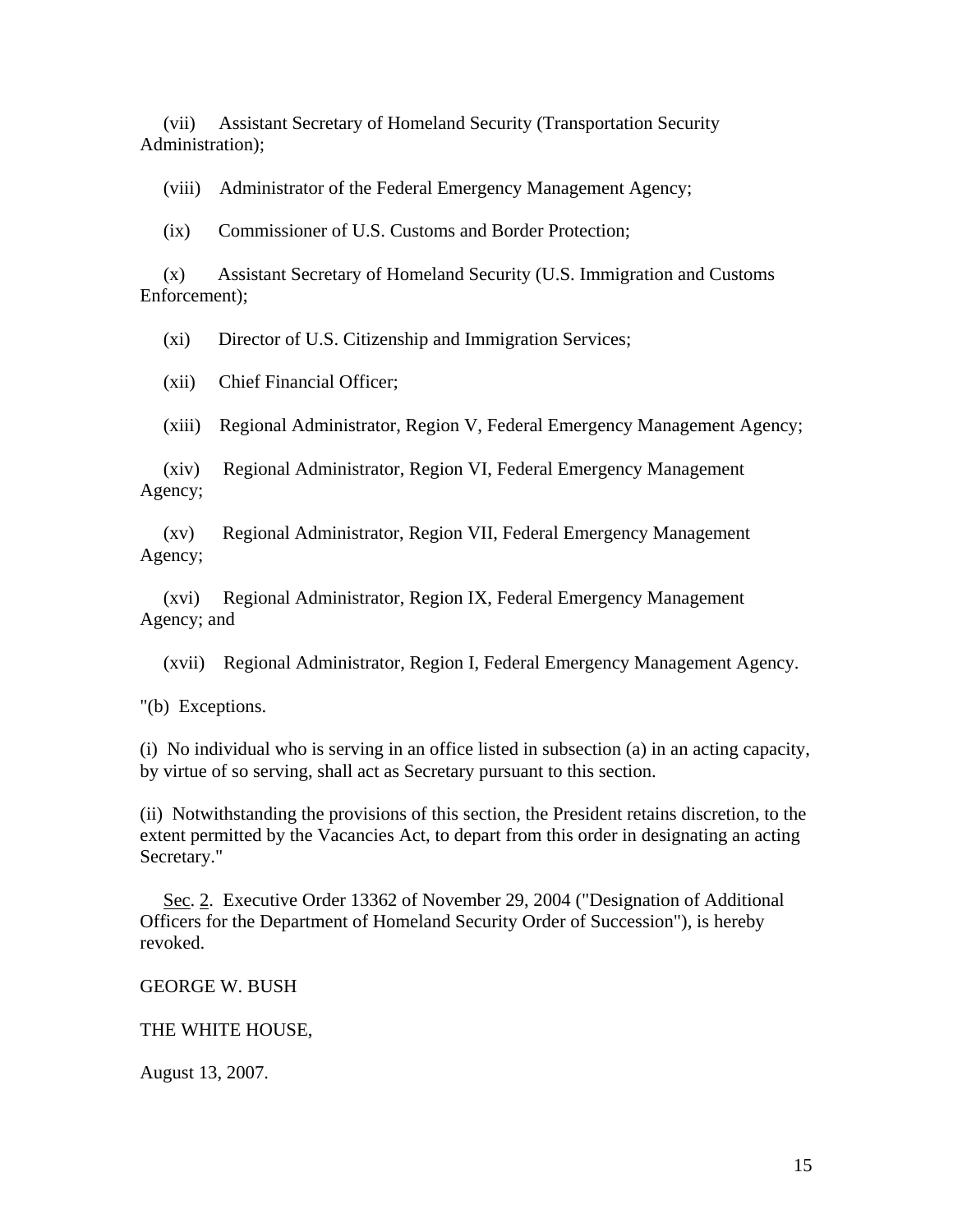(vii) Assistant Secretary of Homeland Security (Transportation Security Administration);

(viii) Administrator of the Federal Emergency Management Agency;

(ix) Commissioner of U.S. Customs and Border Protection;

 (x) Assistant Secretary of Homeland Security (U.S. Immigration and Customs Enforcement);

(xi) Director of U.S. Citizenship and Immigration Services;

(xii) Chief Financial Officer;

(xiii) Regional Administrator, Region V, Federal Emergency Management Agency;

 (xiv) Regional Administrator, Region VI, Federal Emergency Management Agency;

 (xv) Regional Administrator, Region VII, Federal Emergency Management Agency;

 (xvi) Regional Administrator, Region IX, Federal Emergency Management Agency; and

(xvii) Regional Administrator, Region I, Federal Emergency Management Agency.

"(b) Exceptions.

(i) No individual who is serving in an office listed in subsection (a) in an acting capacity, by virtue of so serving, shall act as Secretary pursuant to this section.

(ii) Notwithstanding the provisions of this section, the President retains discretion, to the extent permitted by the Vacancies Act, to depart from this order in designating an acting Secretary."

 Sec. 2. Executive Order 13362 of November 29, 2004 ("Designation of Additional Officers for the Department of Homeland Security Order of Succession"), is hereby revoked.

GEORGE W. BUSH

#### THE WHITE HOUSE,

August 13, 2007.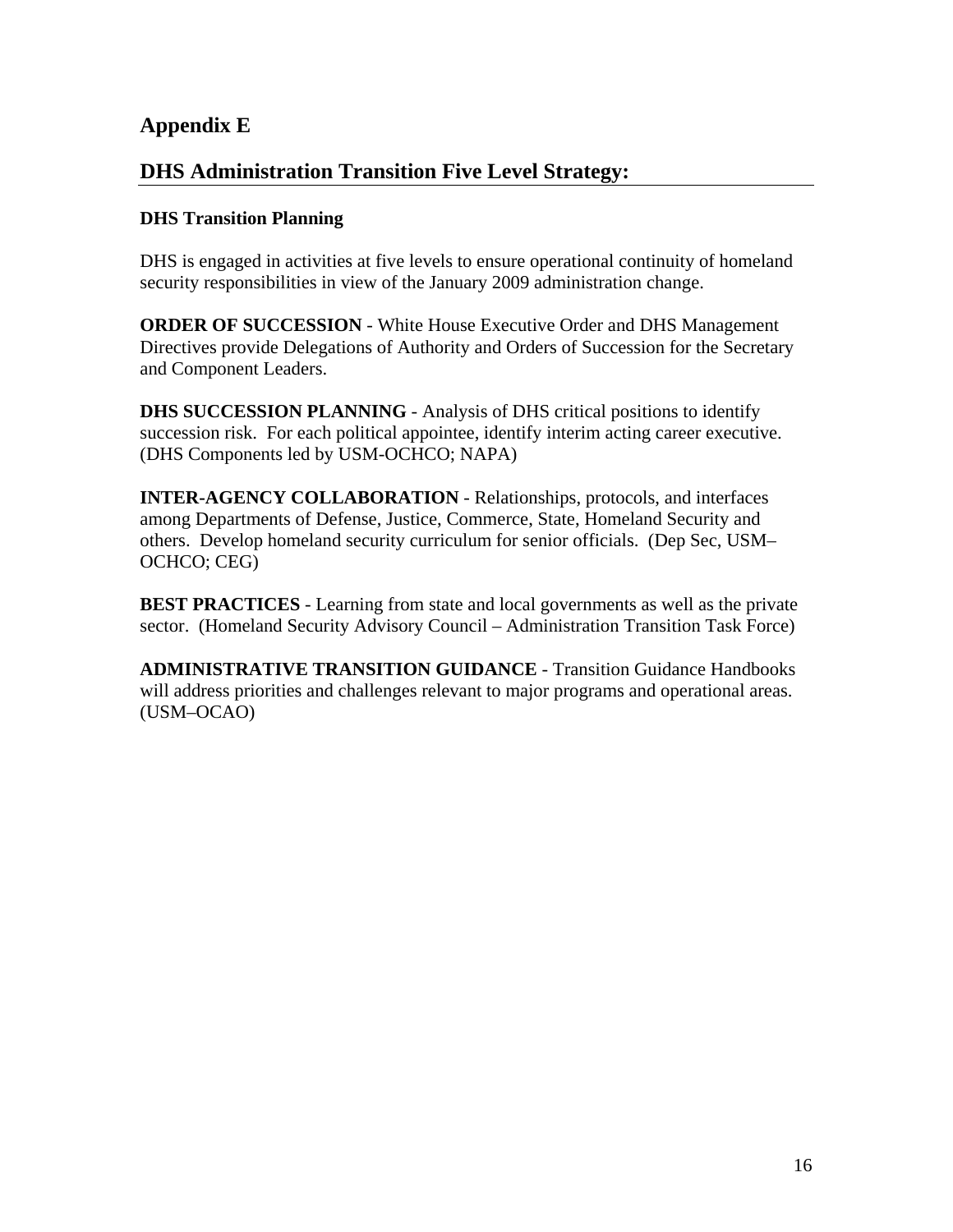### **Appendix E**

### **DHS Administration Transition Five Level Strategy:**

#### **DHS Transition Planning**

DHS is engaged in activities at five levels to ensure operational continuity of homeland security responsibilities in view of the January 2009 administration change.

**ORDER OF SUCCESSION** - White House Executive Order and DHS Management Directives provide Delegations of Authority and Orders of Succession for the Secretary and Component Leaders.

**DHS SUCCESSION PLANNING** - Analysis of DHS critical positions to identify succession risk. For each political appointee, identify interim acting career executive. (DHS Components led by USM-OCHCO; NAPA)

**INTER-AGENCY COLLABORATION** - Relationships, protocols, and interfaces among Departments of Defense, Justice, Commerce, State, Homeland Security and others. Develop homeland security curriculum for senior officials. (Dep Sec, USM– OCHCO; CEG)

**BEST PRACTICES** - Learning from state and local governments as well as the private sector. (Homeland Security Advisory Council – Administration Transition Task Force)

**ADMINISTRATIVE TRANSITION GUIDANCE** - Transition Guidance Handbooks will address priorities and challenges relevant to major programs and operational areas. (USM–OCAO)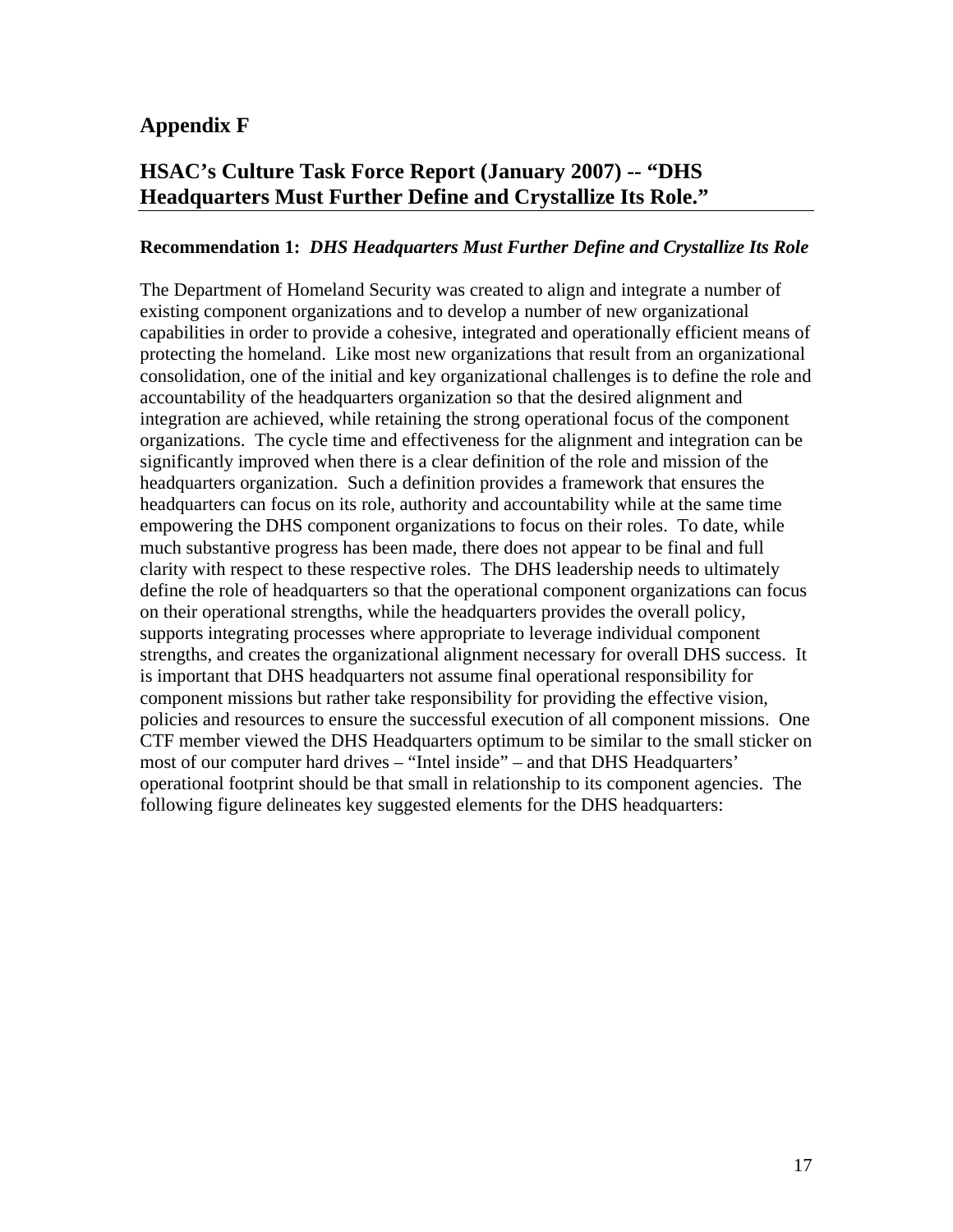### **Appendix F**

### **HSAC's Culture Task Force Report (January 2007) -- "DHS Headquarters Must Further Define and Crystallize Its Role."**

#### **Recommendation 1:** *DHS Headquarters Must Further Define and Crystallize Its Role*

The Department of Homeland Security was created to align and integrate a number of existing component organizations and to develop a number of new organizational capabilities in order to provide a cohesive, integrated and operationally efficient means of protecting the homeland. Like most new organizations that result from an organizational consolidation, one of the initial and key organizational challenges is to define the role and accountability of the headquarters organization so that the desired alignment and integration are achieved, while retaining the strong operational focus of the component organizations. The cycle time and effectiveness for the alignment and integration can be significantly improved when there is a clear definition of the role and mission of the headquarters organization. Such a definition provides a framework that ensures the headquarters can focus on its role, authority and accountability while at the same time empowering the DHS component organizations to focus on their roles. To date, while much substantive progress has been made, there does not appear to be final and full clarity with respect to these respective roles. The DHS leadership needs to ultimately define the role of headquarters so that the operational component organizations can focus on their operational strengths, while the headquarters provides the overall policy, supports integrating processes where appropriate to leverage individual component strengths, and creates the organizational alignment necessary for overall DHS success. It is important that DHS headquarters not assume final operational responsibility for component missions but rather take responsibility for providing the effective vision, policies and resources to ensure the successful execution of all component missions. One CTF member viewed the DHS Headquarters optimum to be similar to the small sticker on most of our computer hard drives – "Intel inside" – and that DHS Headquarters' operational footprint should be that small in relationship to its component agencies. The following figure delineates key suggested elements for the DHS headquarters: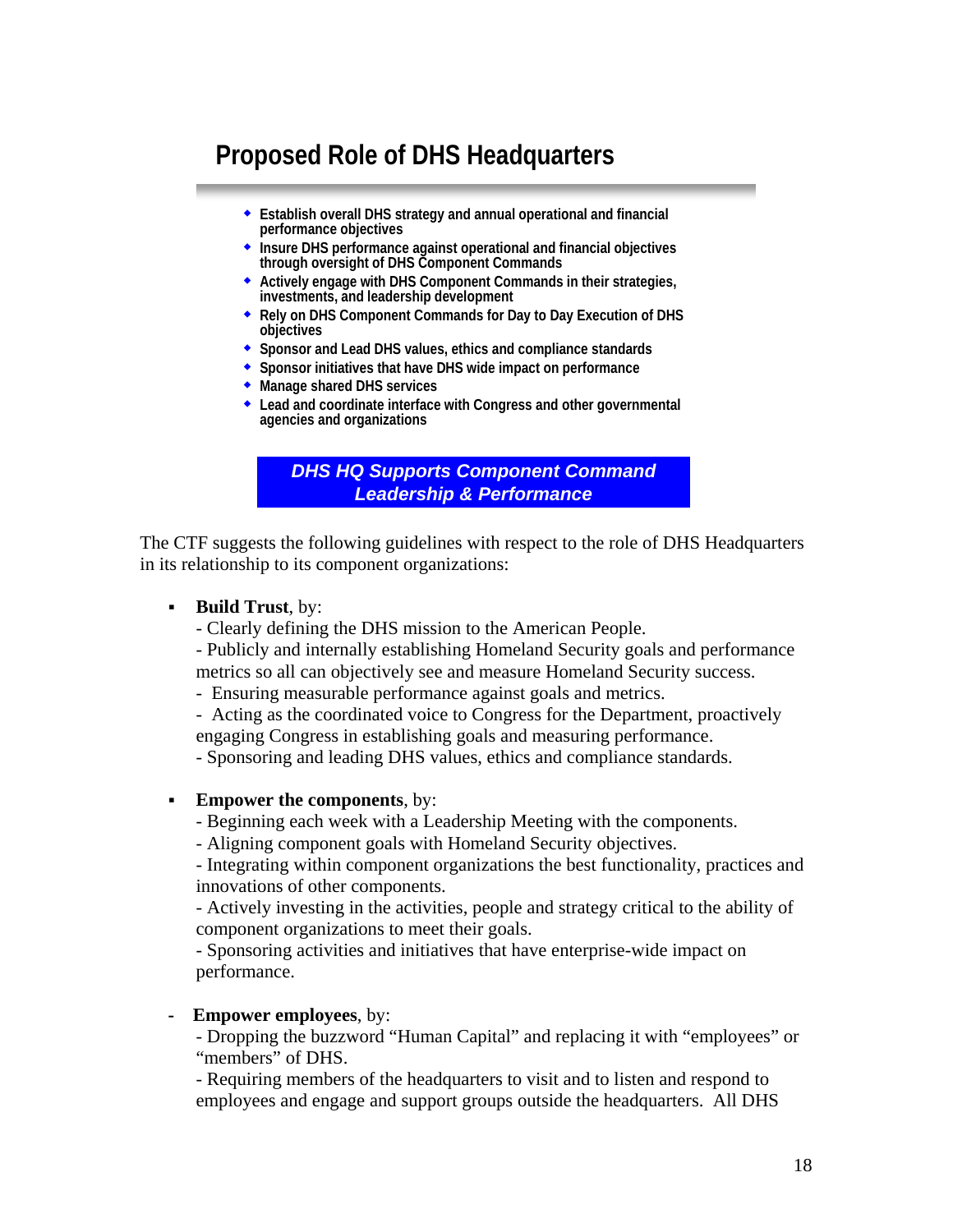# **Proposed Role of DHS Headquarters**

- **Establish overall DHS strategy and annual operational and financial performance objectives**
- **Insure DHS performance against operational and financial objectives through oversight of DHS Component Commands**
- **Actively engage with DHS Component Commands in their strategies, investments, and leadership development**
- **Rely on DHS Component Commands for Day to Day Execution of DHS objectives**
- **Sponsor and Lead DHS values, ethics and compliance standards**
- **Sponsor initiatives that have DHS wide impact on performance**
- **Manage shared DHS services**
- **Lead and coordinate interface with Congress and other governmental agencies and organizations**

*DHS HQ Supports Component Command Leadership & Performance*

The CTF suggests the following guidelines with respect to the role of DHS Headquarters in its relationship to its component organizations:

**Build Trust**, by:

- Clearly defining the DHS mission to the American People.

- Publicly and internally establishing Homeland Security goals and performance metrics so all can objectively see and measure Homeland Security success.

- Ensuring measurable performance against goals and metrics.

- Acting as the coordinated voice to Congress for the Department, proactively engaging Congress in establishing goals and measuring performance.

- Sponsoring and leading DHS values, ethics and compliance standards.

**Empower the components**, by:

- Beginning each week with a Leadership Meeting with the components.

- Aligning component goals with Homeland Security objectives.

- Integrating within component organizations the best functionality, practices and innovations of other components.

- Actively investing in the activities, people and strategy critical to the ability of component organizations to meet their goals.

- Sponsoring activities and initiatives that have enterprise-wide impact on performance.

#### **Empower employees**, by:

- Dropping the buzzword "Human Capital" and replacing it with "employees" or "members" of DHS.

- Requiring members of the headquarters to visit and to listen and respond to employees and engage and support groups outside the headquarters. All DHS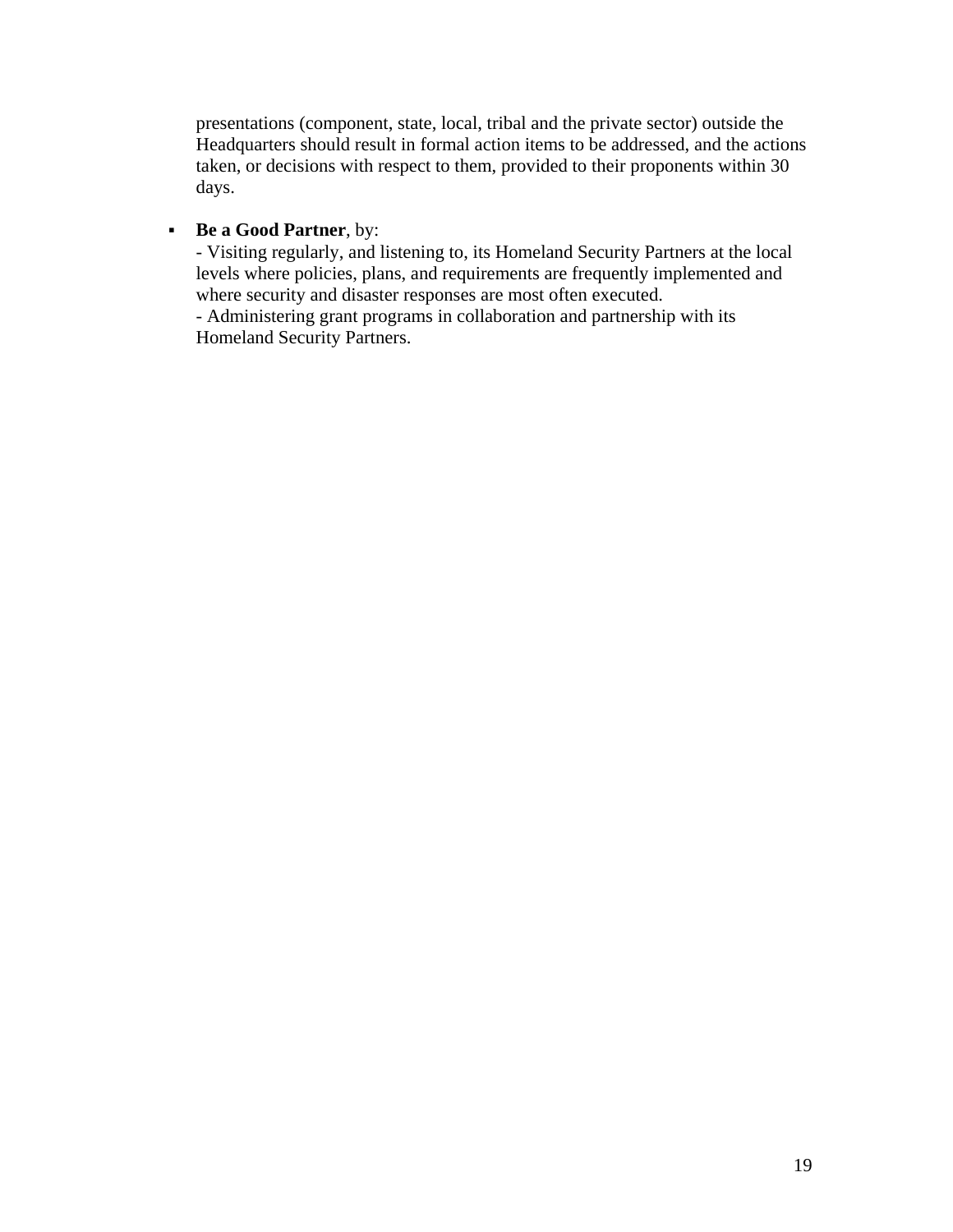presentations (component, state, local, tribal and the private sector) outside the Headquarters should result in formal action items to be addressed, and the actions taken, or decisions with respect to them, provided to their proponents within 30 days.

#### **Be a Good Partner**, by:

- Visiting regularly, and listening to, its Homeland Security Partners at the local levels where policies, plans, and requirements are frequently implemented and where security and disaster responses are most often executed.

- Administering grant programs in collaboration and partnership with its Homeland Security Partners.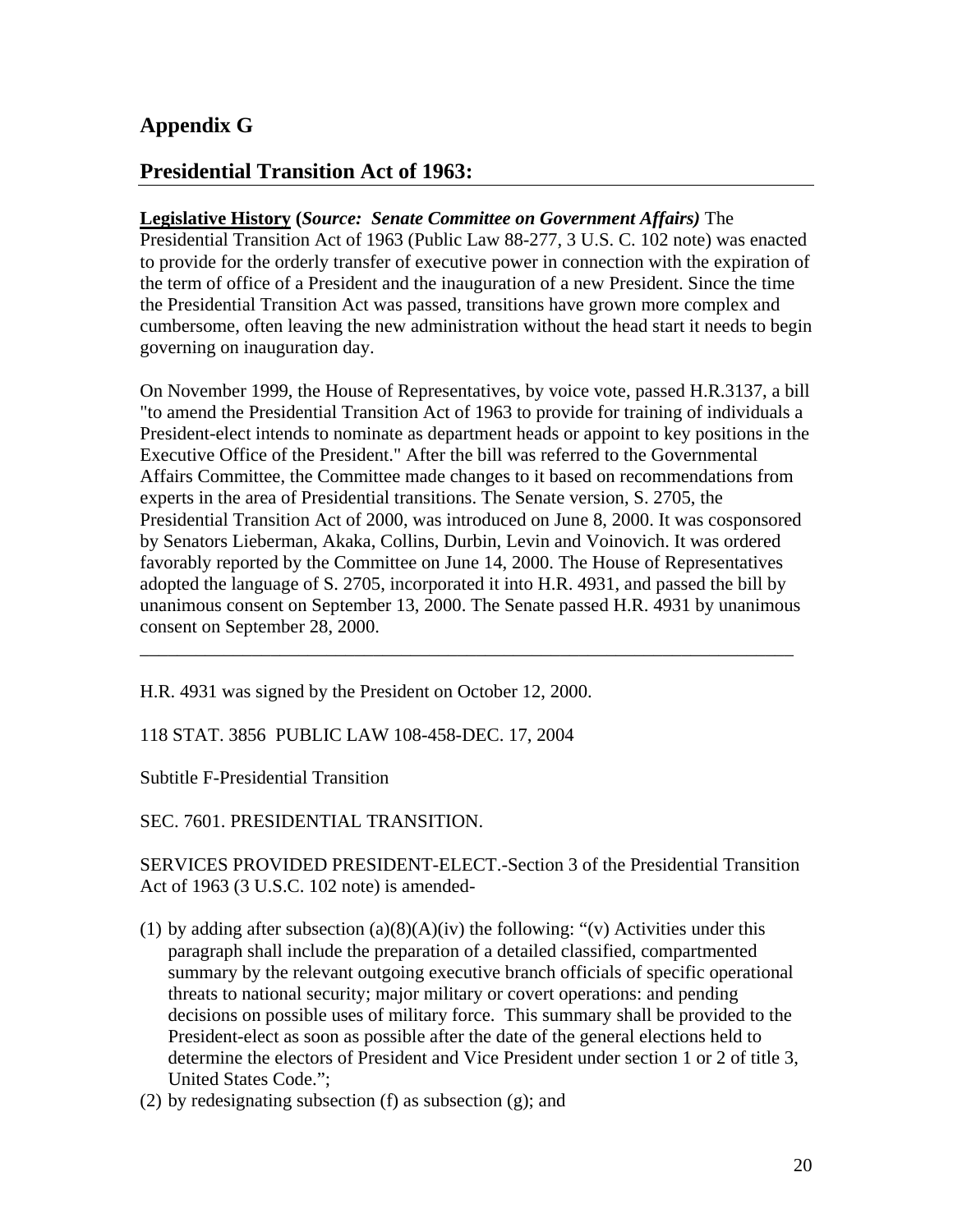### **Appendix G**

### **Presidential Transition Act of 1963:**

#### **Legislative History (***Source: Senate Committee on Government Affairs)* The Presidential Transition Act of 1963 (Public Law 88-277, 3 U.S. C. 102 note) was enacted

to provide for the orderly transfer of executive power in connection with the expiration of the term of office of a President and the inauguration of a new President. Since the time the Presidential Transition Act was passed, transitions have grown more complex and cumbersome, often leaving the new administration without the head start it needs to begin governing on inauguration day.

On November 1999, the House of Representatives, by voice vote, passed H.R.3137, a bill "to amend the Presidential Transition Act of 1963 to provide for training of individuals a President-elect intends to nominate as department heads or appoint to key positions in the Executive Office of the President." After the bill was referred to the Governmental Affairs Committee, the Committee made changes to it based on recommendations from experts in the area of Presidential transitions. The Senate version, S. 2705, the Presidential Transition Act of 2000, was introduced on June 8, 2000. It was cosponsored by Senators Lieberman, Akaka, Collins, Durbin, Levin and Voinovich. It was ordered favorably reported by the Committee on June 14, 2000. The House of Representatives adopted the language of S. 2705, incorporated it into H.R. 4931, and passed the bill by unanimous consent on September 13, 2000. The Senate passed H.R. 4931 by unanimous consent on September 28, 2000.

\_\_\_\_\_\_\_\_\_\_\_\_\_\_\_\_\_\_\_\_\_\_\_\_\_\_\_\_\_\_\_\_\_\_\_\_\_\_\_\_\_\_\_\_\_\_\_\_\_\_\_\_\_\_\_\_\_\_\_\_\_\_\_\_\_\_\_\_\_\_

H.R. 4931 was signed by the President on October 12, 2000.

118 STAT. 3856 PUBLIC LAW 108-458-DEC. 17, 2004

Subtitle F-Presidential Transition

SEC. 7601. PRESIDENTIAL TRANSITION.

SERVICES PROVIDED PRESIDENT-ELECT.-Section 3 of the Presidential Transition Act of 1963 (3 U.S.C. 102 note) is amended-

- (1) by adding after subsection  $(a)(8)(A)(iv)$  the following: "(v) Activities under this paragraph shall include the preparation of a detailed classified, compartmented summary by the relevant outgoing executive branch officials of specific operational threats to national security; major military or covert operations: and pending decisions on possible uses of military force. This summary shall be provided to the President-elect as soon as possible after the date of the general elections held to determine the electors of President and Vice President under section 1 or 2 of title 3, United States Code.";
- (2) by redesignating subsection (f) as subsection (g); and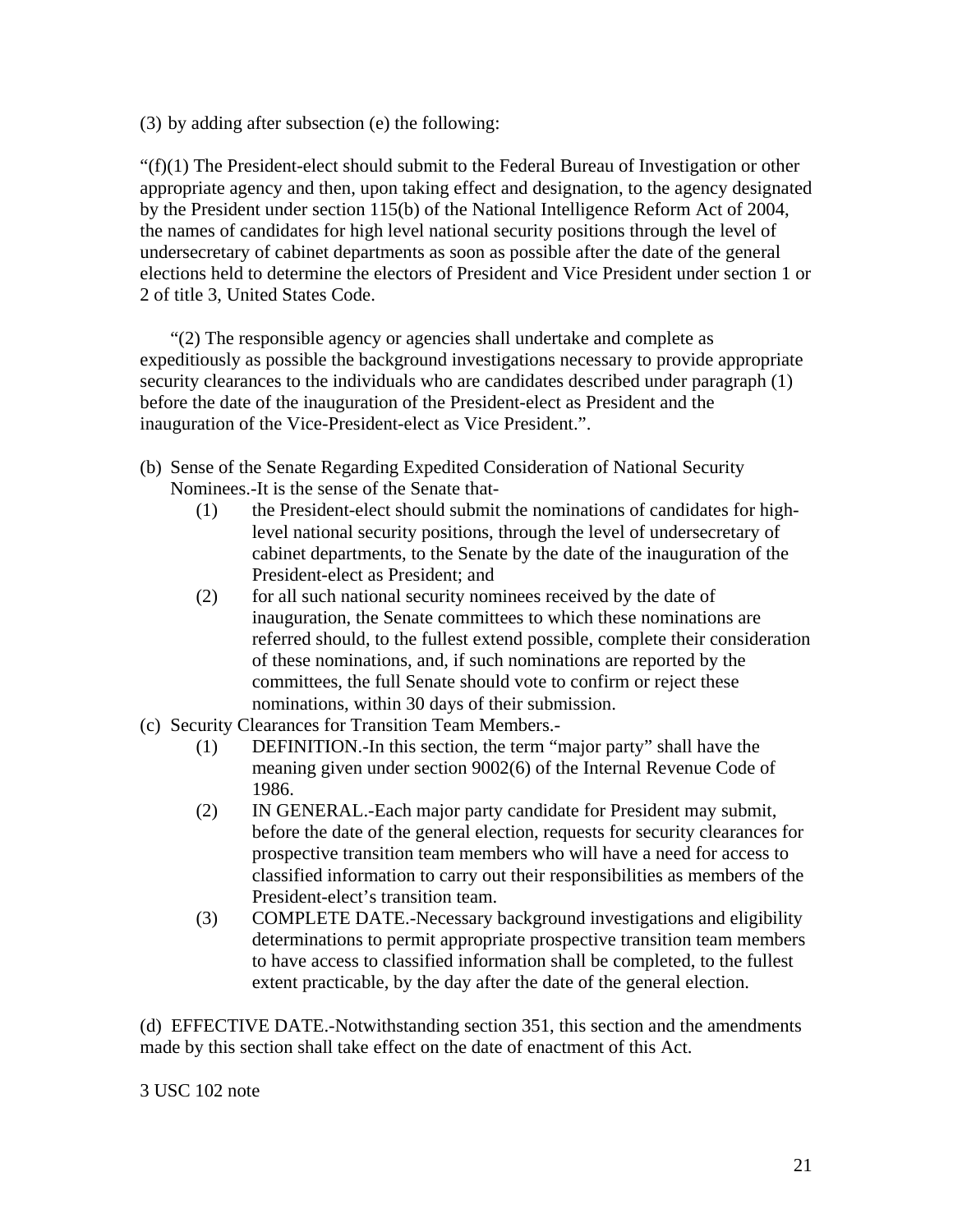(3) by adding after subsection (e) the following:

 $\mathcal{L}(f)(1)$  The President-elect should submit to the Federal Bureau of Investigation or other appropriate agency and then, upon taking effect and designation, to the agency designated by the President under section 115(b) of the National Intelligence Reform Act of 2004, the names of candidates for high level national security positions through the level of undersecretary of cabinet departments as soon as possible after the date of the general elections held to determine the electors of President and Vice President under section 1 or 2 of title 3, United States Code.

"(2) The responsible agency or agencies shall undertake and complete as expeditiously as possible the background investigations necessary to provide appropriate security clearances to the individuals who are candidates described under paragraph (1) before the date of the inauguration of the President-elect as President and the inauguration of the Vice-President-elect as Vice President.".

- (b) Sense of the Senate Regarding Expedited Consideration of National Security Nominees.-It is the sense of the Senate that-
	- (1) the President-elect should submit the nominations of candidates for highlevel national security positions, through the level of undersecretary of cabinet departments, to the Senate by the date of the inauguration of the President-elect as President; and
	- (2) for all such national security nominees received by the date of inauguration, the Senate committees to which these nominations are referred should, to the fullest extend possible, complete their consideration of these nominations, and, if such nominations are reported by the committees, the full Senate should vote to confirm or reject these nominations, within 30 days of their submission.
- (c) Security Clearances for Transition Team Members.-
	- (1) DEFINITION.-In this section, the term "major party" shall have the meaning given under section 9002(6) of the Internal Revenue Code of 1986.
	- (2) IN GENERAL.-Each major party candidate for President may submit, before the date of the general election, requests for security clearances for prospective transition team members who will have a need for access to classified information to carry out their responsibilities as members of the President-elect's transition team.
	- (3) COMPLETE DATE.-Necessary background investigations and eligibility determinations to permit appropriate prospective transition team members to have access to classified information shall be completed, to the fullest extent practicable, by the day after the date of the general election.

(d) EFFECTIVE DATE.-Notwithstanding section 351, this section and the amendments made by this section shall take effect on the date of enactment of this Act.

3 USC 102 note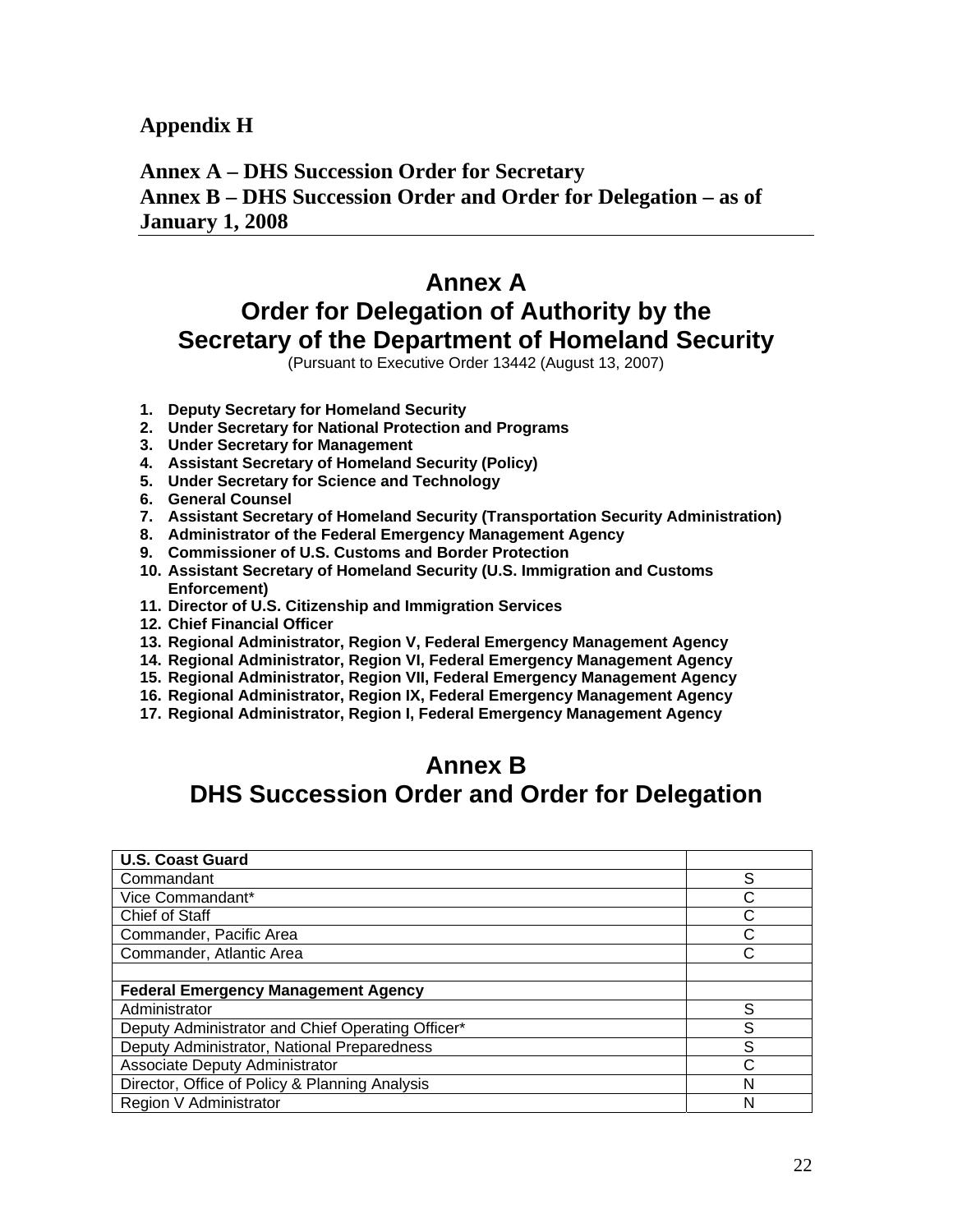## **Annex A – DHS Succession Order for Secretary Annex B – DHS Succession Order and Order for Delegation – as of January 1, 2008**

# **Annex A Order for Delegation of Authority by the Secretary of the Department of Homeland Security**

(Pursuant to Executive Order 13442 (August 13, 2007)

- **1. Deputy Secretary for Homeland Security**
- **2. Under Secretary for National Protection and Programs**
- **3. Under Secretary for Management**
- **4. Assistant Secretary of Homeland Security (Policy)**
- **5. Under Secretary for Science and Technology**
- **6. General Counsel**
- **7. Assistant Secretary of Homeland Security (Transportation Security Administration)**
- **8. Administrator of the Federal Emergency Management Agency**
- **9. Commissioner of U.S. Customs and Border Protection**
- **10. Assistant Secretary of Homeland Security (U.S. Immigration and Customs Enforcement)**
- **11. Director of U.S. Citizenship and Immigration Services**
- **12. Chief Financial Officer**
- **13. Regional Administrator, Region V, Federal Emergency Management Agency**
- **14. Regional Administrator, Region VI, Federal Emergency Management Agency**
- **15. Regional Administrator, Region VII, Federal Emergency Management Agency**
- **16. Regional Administrator, Region IX, Federal Emergency Management Agency**
- **17. Regional Administrator, Region I, Federal Emergency Management Agency**

# **Annex B DHS Succession Order and Order for Delegation**

| <b>U.S. Coast Guard</b>                           |   |
|---------------------------------------------------|---|
| Commandant                                        | S |
| Vice Commandant*                                  |   |
| Chief of Staff                                    | C |
| Commander, Pacific Area                           |   |
| Commander, Atlantic Area                          |   |
|                                                   |   |
| <b>Federal Emergency Management Agency</b>        |   |
| Administrator                                     | S |
| Deputy Administrator and Chief Operating Officer* | S |
| Deputy Administrator, National Preparedness       | S |
| Associate Deputy Administrator                    | C |
| Director, Office of Policy & Planning Analysis    | N |
| Region V Administrator                            | N |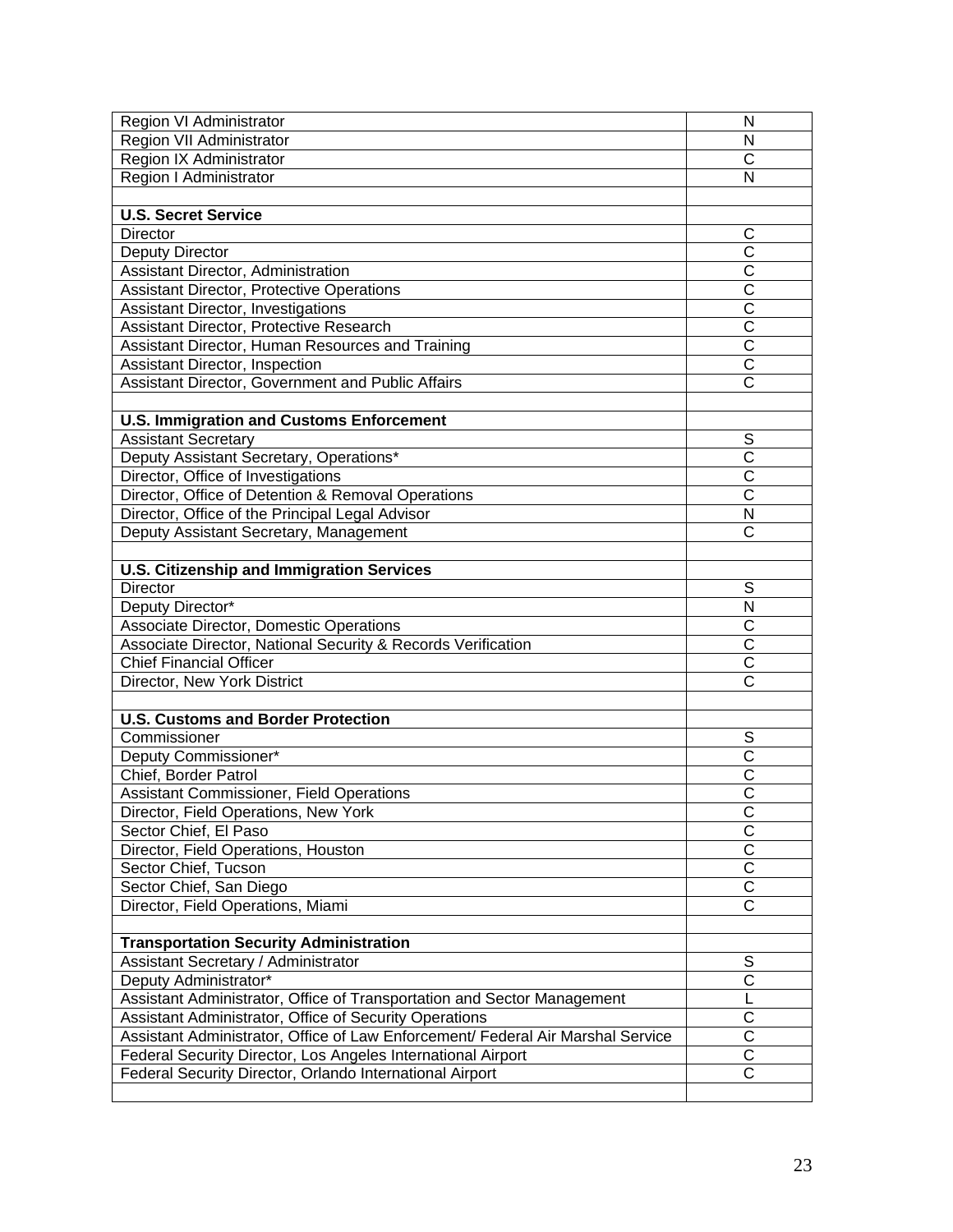| Region VI Administrator                                                         | N                       |
|---------------------------------------------------------------------------------|-------------------------|
| Region VII Administrator                                                        | N                       |
| Region IX Administrator                                                         | $\overline{\text{c}}$   |
| Region I Administrator                                                          | N                       |
|                                                                                 |                         |
| <b>U.S. Secret Service</b>                                                      |                         |
| <b>Director</b>                                                                 | С                       |
| <b>Deputy Director</b>                                                          | $\overline{\text{c}}$   |
| Assistant Director, Administration                                              | $\overline{\text{C}}$   |
| <b>Assistant Director, Protective Operations</b>                                | $\overline{\text{c}}$   |
| Assistant Director, Investigations                                              | $\overline{\text{c}}$   |
| Assistant Director, Protective Research                                         | $\overline{\text{c}}$   |
| Assistant Director, Human Resources and Training                                | $\overline{\text{c}}$   |
| Assistant Director, Inspection                                                  | $\overline{\text{c}}$   |
| Assistant Director, Government and Public Affairs                               | $\overline{\rm c}$      |
|                                                                                 |                         |
| <b>U.S. Immigration and Customs Enforcement</b>                                 |                         |
| <b>Assistant Secretary</b>                                                      | S                       |
| Deputy Assistant Secretary, Operations*                                         | $\overline{\text{c}}$   |
| Director, Office of Investigations                                              | $\overline{\text{c}}$   |
| Director, Office of Detention & Removal Operations                              | $\overline{\text{c}}$   |
| Director, Office of the Principal Legal Advisor                                 | $\overline{\mathsf{N}}$ |
| Deputy Assistant Secretary, Management                                          | $\overline{\text{C}}$   |
|                                                                                 |                         |
| <b>U.S. Citizenship and Immigration Services</b>                                |                         |
| <b>Director</b>                                                                 | S                       |
| Deputy Director*                                                                | N                       |
| Associate Director, Domestic Operations                                         | $\overline{\text{C}}$   |
| Associate Director, National Security & Records Verification                    | $\overline{\text{c}}$   |
| <b>Chief Financial Officer</b>                                                  | $\overline{\text{c}}$   |
| Director, New York District                                                     | $\overline{\text{C}}$   |
|                                                                                 |                         |
| <b>U.S. Customs and Border Protection</b>                                       |                         |
| Commissioner                                                                    | S                       |
| Deputy Commissioner*                                                            | $\overline{\text{C}}$   |
| Chief, Border Patrol                                                            | $\overline{\text{c}}$   |
| <b>Assistant Commissioner, Field Operations</b>                                 | $\overline{\text{c}}$   |
| Director, Field Operations, New York                                            | U                       |
| Sector Chief, El Paso                                                           | $\overline{\text{c}}$   |
| Director, Field Operations, Houston                                             | $\overline{\text{c}}$   |
| Sector Chief, Tucson                                                            | $\overline{\text{c}}$   |
| Sector Chief, San Diego                                                         | $\overline{\text{c}}$   |
| Director, Field Operations, Miami                                               | $\overline{\text{c}}$   |
|                                                                                 |                         |
| <b>Transportation Security Administration</b>                                   |                         |
| Assistant Secretary / Administrator                                             | S                       |
| Deputy Administrator*                                                           | $\overline{C}$          |
| Assistant Administrator, Office of Transportation and Sector Management         | L                       |
| Assistant Administrator, Office of Security Operations                          | $\overline{C}$          |
| Assistant Administrator, Office of Law Enforcement/ Federal Air Marshal Service | $\overline{\text{C}}$   |
| Federal Security Director, Los Angeles International Airport                    | $\overline{C}$          |
| Federal Security Director, Orlando International Airport                        | $\overline{\text{c}}$   |
|                                                                                 |                         |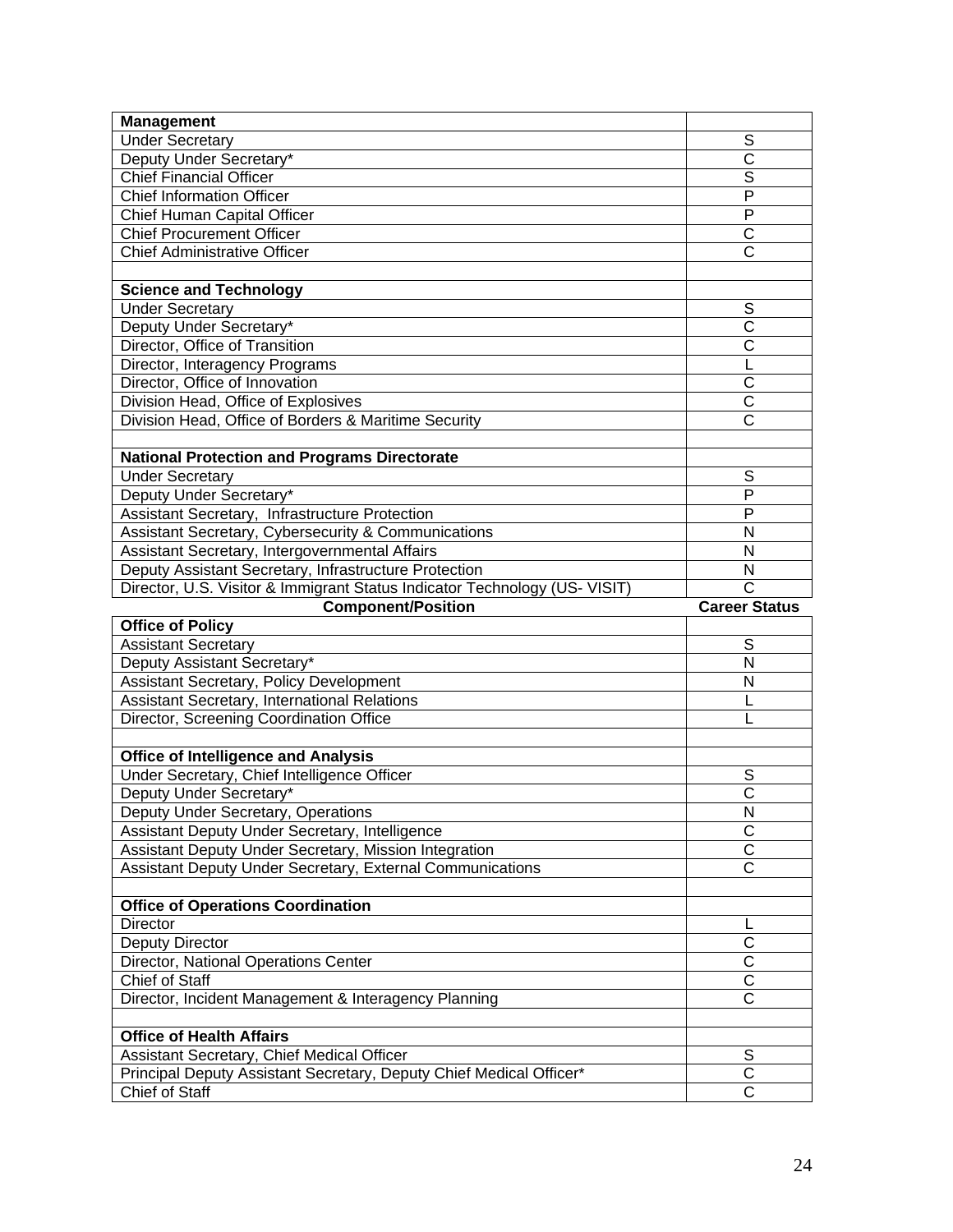| <b>Management</b><br><b>Under Secretary</b>                                           | S                                              |
|---------------------------------------------------------------------------------------|------------------------------------------------|
|                                                                                       | $\overline{\text{c}}$                          |
| Deputy Under Secretary*                                                               | $\overline{s}$                                 |
| <b>Chief Financial Officer</b>                                                        | $\overline{\mathsf{P}}$                        |
| <b>Chief Information Officer</b>                                                      |                                                |
| Chief Human Capital Officer                                                           | $\overline{P}$                                 |
| <b>Chief Procurement Officer</b>                                                      | $\overline{\text{c}}$                          |
| <b>Chief Administrative Officer</b>                                                   | $\overline{\text{C}}$                          |
| <b>Science and Technology</b>                                                         |                                                |
| <b>Under Secretary</b>                                                                | S                                              |
| Deputy Under Secretary*                                                               | $\overline{\text{c}}$                          |
| Director, Office of Transition                                                        | $\overline{\text{c}}$                          |
| Director, Interagency Programs                                                        |                                                |
| Director, Office of Innovation                                                        | $\overline{\text{c}}$                          |
| Division Head, Office of Explosives                                                   | $\overline{\text{c}}$                          |
| Division Head, Office of Borders & Maritime Security                                  | $\overline{\text{c}}$                          |
|                                                                                       |                                                |
| <b>National Protection and Programs Directorate</b>                                   |                                                |
| <b>Under Secretary</b>                                                                | S                                              |
| Deputy Under Secretary*                                                               | P                                              |
| Assistant Secretary, Infrastructure Protection                                        | P                                              |
| Assistant Secretary, Cybersecurity & Communications                                   | N                                              |
| Assistant Secretary, Intergovernmental Affairs                                        | N                                              |
| Deputy Assistant Secretary, Infrastructure Protection                                 | N                                              |
| Director, U.S. Visitor & Immigrant Status Indicator Technology (US- VISIT)            | $\overline{\text{c}}$                          |
| <b>Component/Position</b>                                                             | <b>Career Status</b>                           |
|                                                                                       |                                                |
| <b>Office of Policy</b>                                                               |                                                |
| <b>Assistant Secretary</b>                                                            | S                                              |
|                                                                                       | N                                              |
| Deputy Assistant Secretary*<br>Assistant Secretary, Policy Development                | N                                              |
| Assistant Secretary, International Relations                                          |                                                |
| Director, Screening Coordination Office                                               |                                                |
|                                                                                       |                                                |
| <b>Office of Intelligence and Analysis</b>                                            |                                                |
| Under Secretary, Chief Intelligence Officer                                           | S                                              |
| Deputy Under Secretary*                                                               | $\overline{\rm c}$                             |
| Deputy Under Secretary, Operations                                                    | N                                              |
| Assistant Deputy Under Secretary, Intelligence                                        | $\overline{\text{c}}$                          |
| Assistant Deputy Under Secretary, Mission Integration                                 | $\overline{C}$                                 |
| Assistant Deputy Under Secretary, External Communications                             | $\overline{\text{c}}$                          |
|                                                                                       |                                                |
| <b>Office of Operations Coordination</b>                                              |                                                |
| <b>Director</b>                                                                       |                                                |
| <b>Deputy Director</b>                                                                | C                                              |
| Director, National Operations Center                                                  | $\overline{\text{c}}$                          |
| <b>Chief of Staff</b><br>Director, Incident Management & Interagency Planning         | $\overline{\text{c}}$<br>$\overline{\text{c}}$ |
|                                                                                       |                                                |
| <b>Office of Health Affairs</b>                                                       |                                                |
| Assistant Secretary, Chief Medical Officer                                            | S                                              |
| Principal Deputy Assistant Secretary, Deputy Chief Medical Officer*<br>Chief of Staff | $\overline{\text{c}}$<br>$\overline{\text{c}}$ |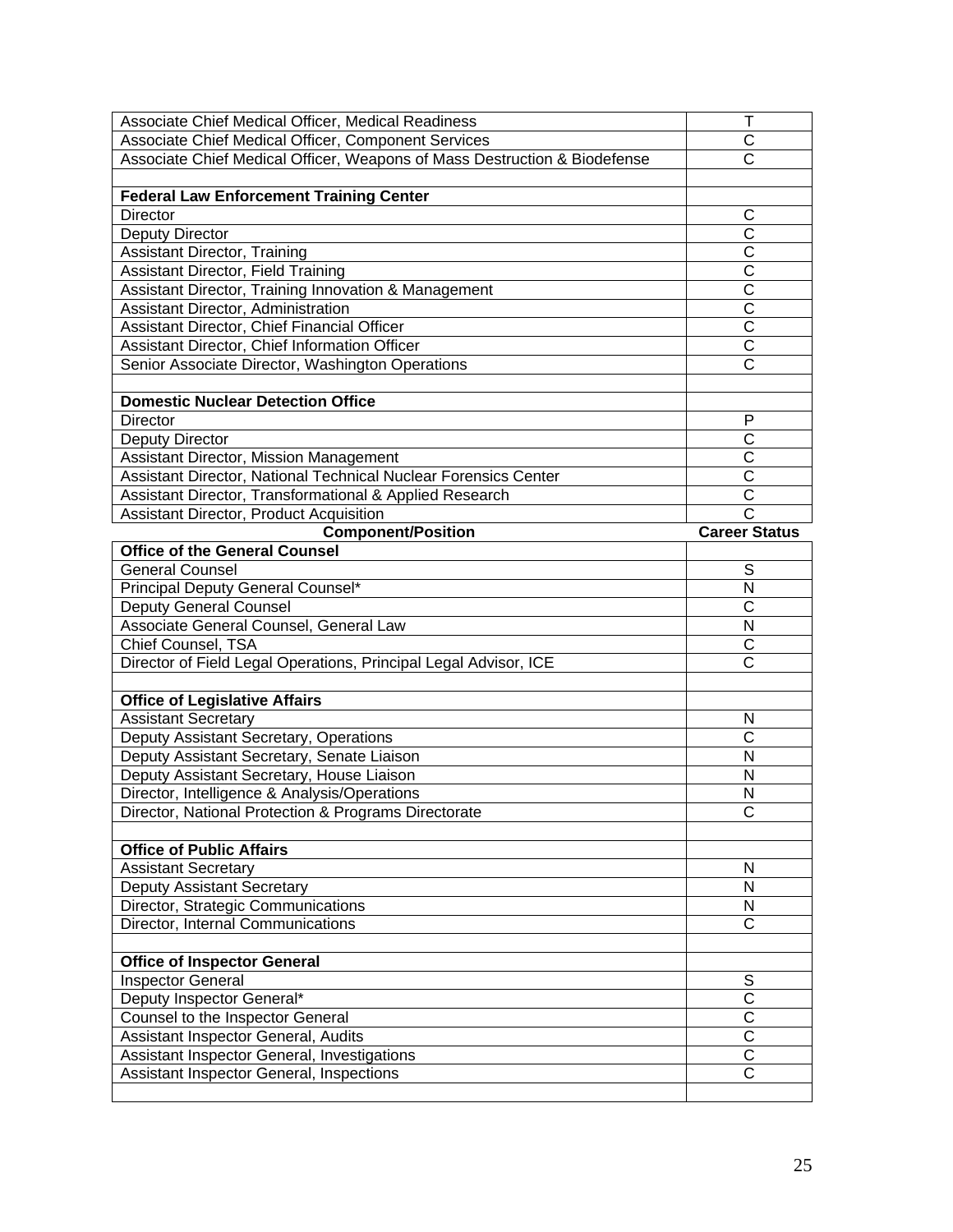| Associate Chief Medical Officer, Medical Readiness                        | Т                       |
|---------------------------------------------------------------------------|-------------------------|
| Associate Chief Medical Officer, Component Services                       | C                       |
| Associate Chief Medical Officer, Weapons of Mass Destruction & Biodefense | $\overline{\text{C}}$   |
|                                                                           |                         |
| <b>Federal Law Enforcement Training Center</b>                            |                         |
| <b>Director</b>                                                           | С                       |
| Deputy Director                                                           | $\overline{\text{c}}$   |
| <b>Assistant Director, Training</b>                                       | $\overline{\text{c}}$   |
| <b>Assistant Director, Field Training</b>                                 | $\overline{\text{c}}$   |
| Assistant Director, Training Innovation & Management                      | $\overline{\text{c}}$   |
| <b>Assistant Director, Administration</b>                                 | $\overline{\text{c}}$   |
| Assistant Director, Chief Financial Officer                               | $\overline{\text{c}}$   |
| Assistant Director, Chief Information Officer                             | $\overline{\text{c}}$   |
| Senior Associate Director, Washington Operations                          | $\overline{\text{c}}$   |
|                                                                           |                         |
| <b>Domestic Nuclear Detection Office</b>                                  |                         |
| <b>Director</b>                                                           | P                       |
| Deputy Director                                                           | C                       |
| <b>Assistant Director, Mission Management</b>                             | $\overline{\text{c}}$   |
| Assistant Director, National Technical Nuclear Forensics Center           | $\overline{\text{c}}$   |
| Assistant Director, Transformational & Applied Research                   | $\overline{\text{c}}$   |
| <b>Assistant Director, Product Acquisition</b>                            | $\overline{\text{C}}$   |
| <b>Component/Position</b>                                                 | <b>Career Status</b>    |
| <b>Office of the General Counsel</b>                                      |                         |
| <b>General Counsel</b>                                                    | S                       |
| Principal Deputy General Counsel*                                         | N                       |
| <b>Deputy General Counsel</b>                                             | $\overline{\text{C}}$   |
| Associate General Counsel, General Law                                    | $\overline{\mathsf{N}}$ |
| Chief Counsel, TSA                                                        | $\overline{\text{C}}$   |
| Director of Field Legal Operations, Principal Legal Advisor, ICE          | $\overline{\text{C}}$   |
| <b>Office of Legislative Affairs</b>                                      |                         |
| <b>Assistant Secretary</b>                                                | N                       |
| Deputy Assistant Secretary, Operations                                    | $\mathsf C$             |
| Deputy Assistant Secretary, Senate Liaison                                | N                       |
| Deputy Assistant Secretary, House Liaison                                 | N                       |
| Director, Intelligence & Analysis/Operations                              | N                       |
| Director, National Protection & Programs Directorate                      | $\mathsf C$             |
| <b>Office of Public Affairs</b>                                           |                         |
|                                                                           | N                       |
| <b>Assistant Secretary</b><br><b>Deputy Assistant Secretary</b>           | N                       |
| Director, Strategic Communications                                        | N                       |
| Director, Internal Communications                                         | $\overline{\text{c}}$   |
|                                                                           |                         |
| <b>Office of Inspector General</b>                                        |                         |
| <b>Inspector General</b>                                                  | S                       |
| Deputy Inspector General*                                                 | $\overline{\text{c}}$   |
| Counsel to the Inspector General                                          | $\overline{\text{c}}$   |
| Assistant Inspector General, Audits                                       | $\overline{\text{c}}$   |
| Assistant Inspector General, Investigations                               | $\overline{\text{c}}$   |
| Assistant Inspector General, Inspections                                  | $\overline{\text{c}}$   |
|                                                                           |                         |